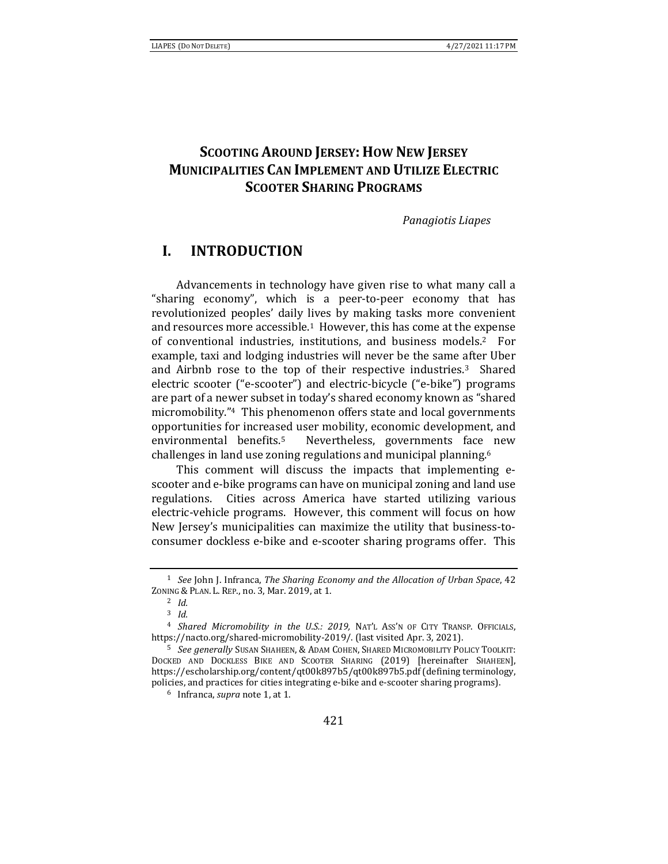# **SCOOTING AROUND JERSEY: HOW NEW JERSEY MUNICIPALITIES CAN IMPLEMENT AND UTILIZE ELECTRIC SCOOTER SHARING PROGRAMS**

*Panagiotis Liapes*

# **I. INTRODUCTION**

Advancements in technology have given rise to what many call a "sharing economy", which is a peer-to-peer economy that has revolutionized peoples' daily lives by making tasks more convenient and resources more accessible.1 However, this has come at the expense of conventional industries, institutions, and business models.2 For example, taxi and lodging industries will never be the same after Uber and Airbnb rose to the top of their respective industries.3 Shared electric scooter ("e-scooter") and electric-bicycle ("e-bike") programs are part of a newer subset in today's shared economy known as "shared micromobility."4 This phenomenon offers state and local governments opportunities for increased user mobility, economic development, and environmental benefits.5 Nevertheless, governments face new challenges in land use zoning regulations and municipal planning.6

This comment will discuss the impacts that implementing escooter and e-bike programs can have on municipal zoning and land use regulations. Cities across America have started utilizing various electric-vehicle programs. However, this comment will focus on how New Jersey's municipalities can maximize the utility that business-toconsumer dockless e-bike and e-scooter sharing programs offer. This

<sup>1</sup> *See* John J. Infranca, *The Sharing Economy and the Allocation of Urban Space*, 42 ZONING & PLAN. L. REP., no. 3, Mar. 2019, at 1. 2 *Id.*

<sup>3</sup> *Id.*

<sup>4</sup> *Shared Micromobility in the U.S.: 2019,* NAT'L ASS'N OF CITY TRANSP. OFFICIALS, https://nacto.org/shared-micromobility-2019/. (last visited Apr. 3, 2021).

<sup>5</sup> *See generally* SUSAN SHAHEEN, & ADAM COHEN, SHARED MICROMOBILITY POLICY TOOLKIT: DOCKED AND DOCKLESS BIKE AND SCOOTER SHARING (2019) [hereinafter SHAHEEN], https://escholarship.org/content/qt00k897b5/qt00k897b5.pdf (defining terminology, policies, and practices for cities integrating e-bike and e-scooter sharing programs). 6 Infranca, *supra* note 1, at 1.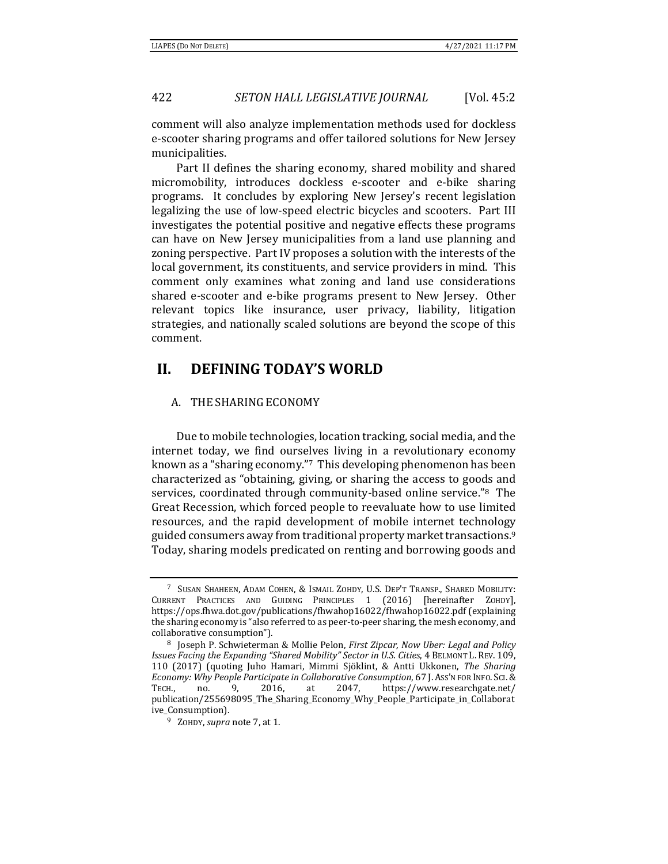comment will also analyze implementation methods used for dockless e-scooter sharing programs and offer tailored solutions for New Jersey municipalities.

Part II defines the sharing economy, shared mobility and shared micromobility, introduces dockless e-scooter and e-bike sharing programs. It concludes by exploring New Jersey's recent legislation legalizing the use of low-speed electric bicycles and scooters. Part III investigates the potential positive and negative effects these programs can have on New Jersey municipalities from a land use planning and zoning perspective. Part IV proposes a solution with the interests of the local government, its constituents, and service providers in mind. This comment only examines what zoning and land use considerations shared e-scooter and e-bike programs present to New Jersey. Other relevant topics like insurance, user privacy, liability, litigation strategies, and nationally scaled solutions are beyond the scope of this comment.

# **II. DEFINING TODAY'S WORLD**

### A. THE SHARING ECONOMY

Due to mobile technologies, location tracking, social media, and the internet today, we find ourselves living in a revolutionary economy known as a "sharing economy."7 This developing phenomenon has been characterized as "obtaining, giving, or sharing the access to goods and services, coordinated through community-based online service."8 The Great Recession, which forced people to reevaluate how to use limited resources, and the rapid development of mobile internet technology guided consumers away from traditional property market transactions.<sup>9</sup> Today, sharing models predicated on renting and borrowing goods and

<sup>7</sup> SUSAN SHAHEEN, ADAM COHEN, & ISMAIL ZOHDY, U.S. DEP'T TRANSP., SHARED MOBILITY: CURRENT PRACTICES AND GUIDING PRINCIPLES 1 (2016) [hereinafter ZOHDY], https://ops.fhwa.dot.gov/publications/fhwahop16022/fhwahop16022.pdf (explaining the sharing economy is "also referred to as peer-to-peer sharing, the mesh economy, and collaborative consumption"). 8 Joseph P. Schwieterman & Mollie Pelon, *First Zipcar, Now Uber: Legal and Policy*

*Issues Facing the Expanding "Shared Mobility" Sector in U.S. Cities*, 4 BELMONT L. REV. 109, 110 (2017) (quoting Juho Hamari, Mimmi Sjöklint, & Antti Ukkonen, *The Sharing Economy: Why People Participate in Collaborative Consumption*, 67 J. ASS'N FOR INFO. SCI.& TECH., no. 9, 2016, at 2047, https://www.researchgate.net/ publication/255698095\_The\_Sharing\_Economy\_Why\_People\_Participate\_in\_Collaborat ive\_Consumption). 9 ZOHDY, *supra* note 7, at 1.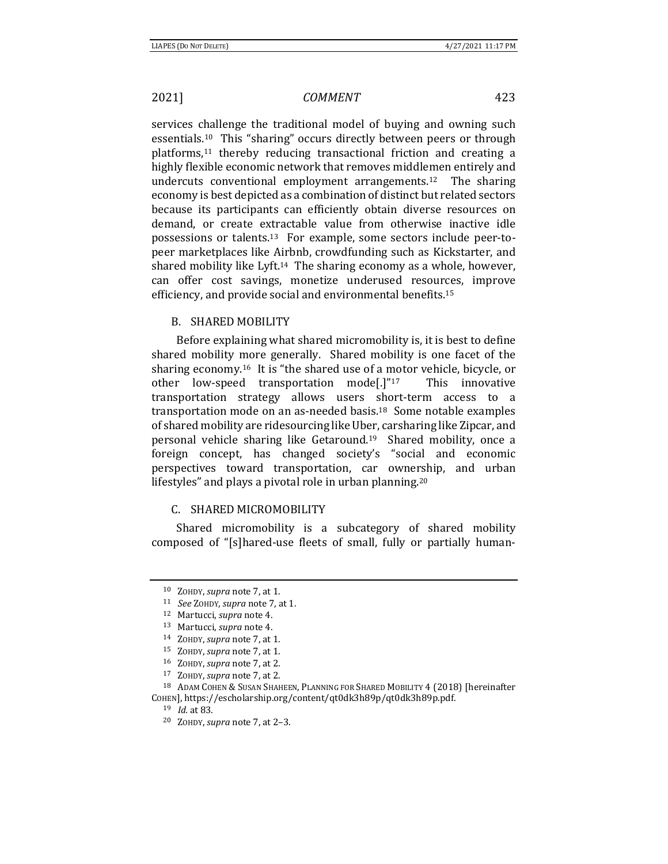services challenge the traditional model of buying and owning such essentials.10 This "sharing" occurs directly between peers or through platforms,<sup>11</sup> thereby reducing transactional friction and creating a highly flexible economic network that removes middlemen entirely and undercuts conventional employment arrangements.12 The sharing economy is best depicted as a combination of distinct but related sectors because its participants can efficiently obtain diverse resources on demand, or create extractable value from otherwise inactive idle possessions or talents.13 For example, some sectors include peer-topeer marketplaces like Airbnb, crowdfunding such as Kickstarter, and shared mobility like Lyft.14 The sharing economy as a whole, however, can offer cost savings, monetize underused resources, improve efficiency, and provide social and environmental benefits.15

### B. SHARED MOBILITY

Before explaining what shared micromobility is, it is best to define shared mobility more generally. Shared mobility is one facet of the sharing economy.16 It is "the shared use of a motor vehicle, bicycle, or other low-speed transportation mode[.]"17 This innovative transportation strategy allows users short-term access to a transportation mode on an as-needed basis.18 Some notable examples of shared mobility are ridesourcing like Uber, carsharing like Zipcar, and personal vehicle sharing like Getaround.19 Shared mobility, once a foreign concept, has changed society's "social and economic perspectives toward transportation, car ownership, and urban lifestyles" and plays a pivotal role in urban planning.20

### C. SHARED MICROMOBILITY

Shared micromobility is a subcategory of shared mobility composed of "[s]hared-use fleets of small, fully or partially human-

<sup>10</sup> ZOHDY, *supra* note 7, at 1. 11 *See* ZOHDY, *supra* note 7, at 1. 12 Martucci, *supra* note 4. 13 Martucci, *supra* note 4. 14 ZOHDY, *supra* note 7, at 1.

<sup>&</sup>lt;sup>15</sup> ZOHDY, *supra* note 7, at 1.<br><sup>16</sup> ZOHDY, *supra* note 7, at 2.<br><sup>17</sup> ZOHDY, *supra* note 7, at 2.<br><sup>18</sup> ADAM COHEN & SUSAN SHAHEEN, PLANNING FOR SHARED MOBILITY 4 (2018) [hereinafter COHEN], https://escholarship.org/content/qt0dk3h89p/qt0dk3h89p.pdf. 19 *Id.* at 83. 20 ZOHDY, *supra* note 7, at 2–3.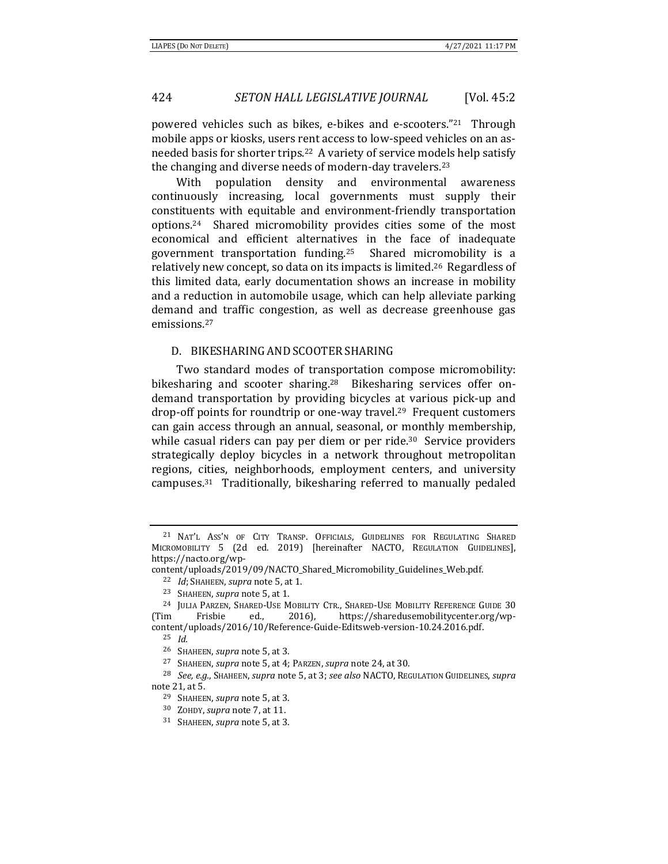powered vehicles such as bikes, e-bikes and e-scooters."21 Through mobile apps or kiosks, users rent access to low-speed vehicles on an asneeded basis for shorter trips.22 A variety of service models help satisfy the changing and diverse needs of modern-day travelers.23

With population density and environmental awareness continuously increasing, local governments must supply their constituents with equitable and environment-friendly transportation options.24 Shared micromobility provides cities some of the most economical and efficient alternatives in the face of inadequate government transportation funding.25 Shared micromobility is a relatively new concept, so data on its impacts is limited.26 Regardless of this limited data, early documentation shows an increase in mobility and a reduction in automobile usage, which can help alleviate parking demand and traffic congestion, as well as decrease greenhouse gas emissions.27

### D. BIKESHARING AND SCOOTER SHARING

Two standard modes of transportation compose micromobility: bikesharing and scooter sharing.<sup>28</sup> Bikesharing services offer ondemand transportation by providing bicycles at various pick-up and drop-off points for roundtrip or one-way travel.<sup>29</sup> Frequent customers can gain access through an annual, seasonal, or monthly membership, while casual riders can pay per diem or per ride.<sup>30</sup> Service providers strategically deploy bicycles in a network throughout metropolitan regions, cities, neighborhoods, employment centers, and university campuses.31 Traditionally, bikesharing referred to manually pedaled

<sup>&</sup>lt;sup>21</sup> NAT'L ASS'N OF CITY TRANSP. OFFICIALS, GUIDELINES FOR REGULATING SHARED MICROMOBILITY 5 (2d ed. 2019) [hereinafter NACTO, REGULATION GUIDELINES], https://nacto.org/wp-

 $\text{content/unloads/2019/09/NACTO\_Shared_Micromobility_Guidelines_Web.pdf.}$ <br>
<sup>22</sup> *Id*; Shaheen, *supra* note 5, at 1.<br>
<sup>23</sup> Shaheen, *supra* note 5, at 1.<br>
<sup>24</sup> JULIA PARZEN, SHARED-USE MOBILITY CTR., SHARED-USE MOBILITY REFERENCE GUIDE 30

<sup>(</sup>Tim Frisbie ed., 2016), https://sharedusemobilitycenter.org/wpcontent/uploads/2016/10/Reference-Guide-Editsweb-version-10.24.2016.pdf.

<sup>25</sup> *Id.*

<sup>&</sup>lt;sup>26</sup> SHAHEEN, *supra* note 5, at 3.<br><sup>27</sup> SHAHEEN, *supra* note 5, at 4; PARZEN, *supra* note 24, at 30.<br><sup>28</sup> *See, e.g.*, SHAHEEN, *supra* note 5, at 3; *see also* NACTO, REGULATION GUIDELINES, *supra* 

note 21, at 5.<br><sup>29</sup> SHAHEEN, *supra* note 5, at 3.<br><sup>30</sup> ZOHDY, *supra* note 7, at 11.<br><sup>31</sup> SHAHEEN, *supra* note 5, at 3.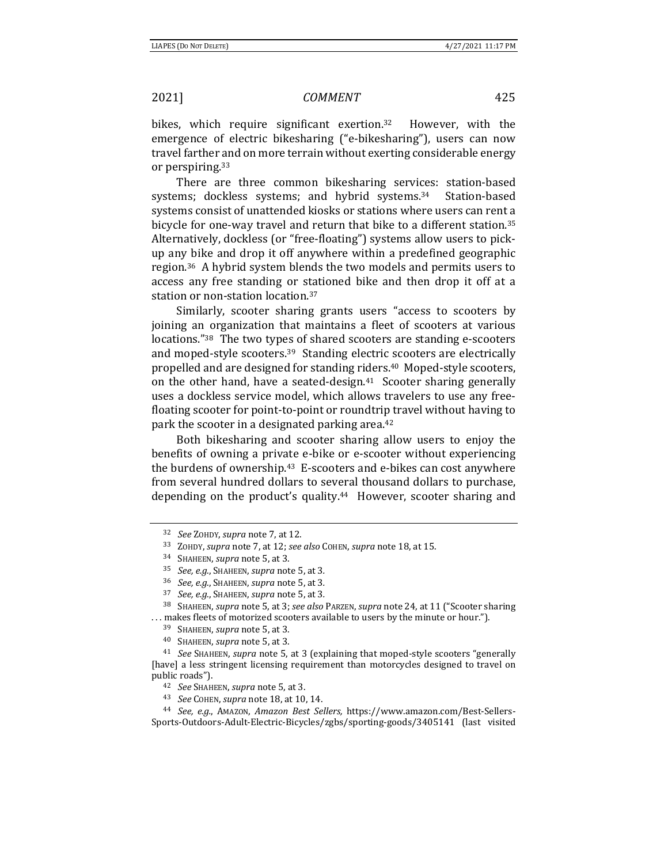bikes, which require significant exertion.32 However, with the emergence of electric bikesharing ("e-bikesharing"), users can now travel farther and on more terrain without exerting considerable energy or perspiring.33

There are three common bikesharing services: station-based systems; dockless systems; and hybrid systems.<sup>34</sup> Station-based systems consist of unattended kiosks or stations where users can rent a bicycle for one-way travel and return that bike to a different station.<sup>35</sup> Alternatively, dockless (or "free-floating") systems allow users to pickup any bike and drop it off anywhere within a predefined geographic region.36 A hybrid system blends the two models and permits users to access any free standing or stationed bike and then drop it off at a station or non-station location.37

Similarly, scooter sharing grants users "access to scooters by joining an organization that maintains a fleet of scooters at various locations."38 The two types of shared scooters are standing e-scooters and moped-style scooters.39 Standing electric scooters are electrically propelled and are designed for standing riders.40 Moped-style scooters, on the other hand, have a seated-design.<sup>41</sup> Scooter sharing generally uses a dockless service model, which allows travelers to use any freefloating scooter for point-to-point or roundtrip travel without having to park the scooter in a designated parking area.<sup>42</sup>

Both bikesharing and scooter sharing allow users to enjoy the benefits of owning a private e-bike or e-scooter without experiencing the burdens of ownership.<sup>43</sup> E-scooters and e-bikes can cost anywhere from several hundred dollars to several thousand dollars to purchase, depending on the product's quality.<sup>44</sup> However, scooter sharing and

<sup>32</sup> *See* ZOHDY, *supra* note 7, at 12. 33 ZOHDY, *supra* note 7, at 12; *see also* COHEN, *supra* note 18, at 15. 34 SHAHEEN, *supra* note 5, at 3.

<sup>35</sup> *See, e.g.*, SHAHEEN, *supra* note 5, at 3*.*

<sup>36</sup> *See, e.g.*, SHAHEEN, *supra* note 5, at 3*.*

<sup>37</sup> *See, e.g.*, SHAHEEN, *supra* note 5, at 3*.*

<sup>38</sup> SHAHEEN, *supra* note 5, at 3; *see also* PARZEN, *supra* note 24, at 11 ("Scooter sharing

<sup>%...</sup> makes fleets of motorized scooters available to users by the minute or hour.").<br><sup>39</sup> SHAHEEN, *supra* note 5, at 3.<br><sup>40</sup> SHAHEEN, *supra* note 5, at 3.<br><sup>41</sup> See SHAHEEN, *supra* note 5, at 3 (explaining that moped-st [have] a less stringent licensing requirement than motorcycles designed to travel on public roads").<br><sup>42</sup> See Shaheen, supra note 5, at 3.<br><sup>43</sup> See Cohen, supra note 18, at 10, 14.<br><sup>44</sup> See, e.g., AMAZON, *Amazon Best Sellers,* https://www.amazon.com/Best-Sellers-

Sports-Outdoors-Adult-Electric-Bicycles/zgbs/sporting-goods/3405141 (last visited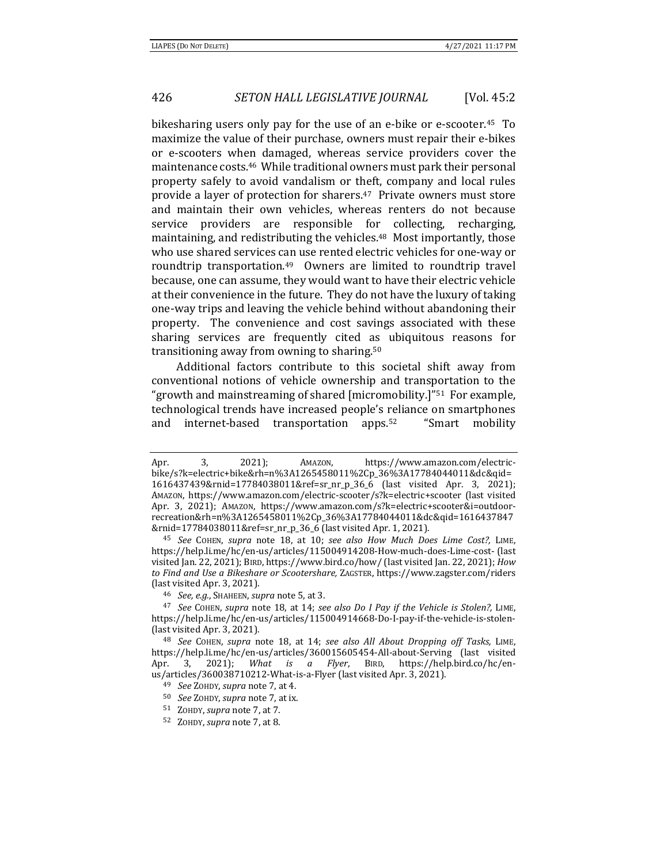bikesharing users only pay for the use of an e-bike or e-scooter.<sup>45</sup> To maximize the value of their purchase, owners must repair their e-bikes or e-scooters when damaged, whereas service providers cover the maintenance costs.46 While traditional owners must park their personal property safely to avoid vandalism or theft, company and local rules provide a layer of protection for sharers.<sup>47</sup> Private owners must store and maintain their own vehicles, whereas renters do not because service providers are responsible for collecting, recharging, maintaining, and redistributing the vehicles.48 Most importantly, those who use shared services can use rented electric vehicles for one-way or roundtrip transportation.49 Owners are limited to roundtrip travel because, one can assume, they would want to have their electric vehicle at their convenience in the future. They do not have the luxury of taking one-way trips and leaving the vehicle behind without abandoning their property. The convenience and cost savings associated with these sharing services are frequently cited as ubiquitous reasons for transitioning away from owning to sharing.50

Additional factors contribute to this societal shift away from conventional notions of vehicle ownership and transportation to the "growth and mainstreaming of shared [micromobility.]"51 For example, technological trends have increased people's reliance on smartphones and internet-based transportation apps.52 "Smart mobility

51 ZOHDY, *supra* note 7, at 7.

Apr. 3, 2021); AMAZON, https://www.amazon.com/electricbike/s?k=electric+bike&rh=n%3A1265458011%2Cp\_36%3A17784044011&dc&qid= 1616437439&rnid=17784038011&ref=sr\_nr\_p\_36\_6 (last visited Apr. 3, 2021); AMAZON, https://www.amazon.com/electric-scooter/s?k=electric+scooter (last visited Apr. 3, 2021); AMAZON, https://www.amazon.com/s?k=electric+scooter&i=outdoorrecreation&rh=n%3A1265458011%2Cp\_36%3A17784044011&dc&qid=1616437847 &rnid=17784038011&ref=sr\_nr\_p\_36\_6 (last visited Apr. 1, 2021).

<sup>45</sup> *See* COHEN, *supra* note 18, at 10; *see also How Much Does Lime Cost?,* LIME, https://help.li.me/hc/en-us/articles/115004914208-How-much-does-Lime-cost- (last visited Jan. 22, 2021); BIRD, https://www.bird.co/how/ (last visited Jan. 22, 2021); *How to Find and Use a Bikeshare or Scootershare,* ZAGSTER, https://www.zagster.com/riders (last visited Apr. 3, 2021). 46 *See, e.g.*, SHAHEEN, *supra* note 5, at 3.

<sup>47</sup> *See* COHEN, *supra* note 18, at 14; *see also Do I Pay if the Vehicle is Stolen?,* LIME, https://help.li.me/hc/en-us/articles/115004914668-Do-I-pay-if-the-vehicle-is-stolen- (last visited Apr. 3, 2021). 48 *See* COHEN, *supra* note 18, at 14; *see also All About Dropping off Tasks,* LIME,

https://help.li.me/hc/en-us/articles/360015605454-All-about-Serving (last visited Apr. 3, 2021); *What is a Flyer*, BIRD, https://help.bird.co/hc/enus/articles/360038710212-What-is-a-Flyer (last visited Apr. 3, 2021). 49 *See* ZOHDY, *supra* note 7, at 4.

<sup>50</sup> *See* ZOHDY, *supra* note 7, at ix.

<sup>52</sup> ZOHDY, *supra* note 7, at 8.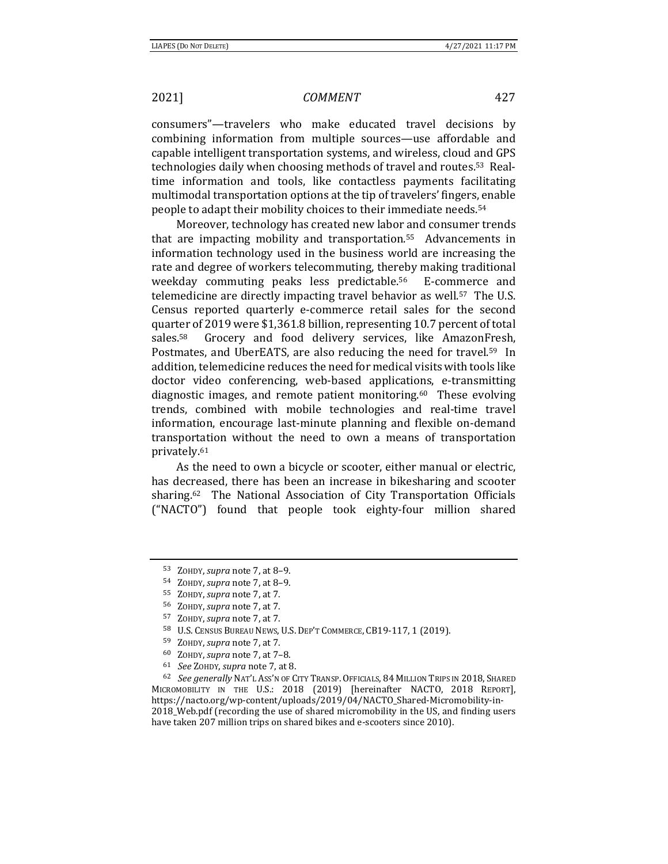consumers"—travelers who make educated travel decisions by combining information from multiple sources—use affordable and capable intelligent transportation systems, and wireless, cloud and GPS technologies daily when choosing methods of travel and routes.53 Realtime information and tools, like contactless payments facilitating multimodal transportation options at the tip of travelers' fingers, enable people to adapt their mobility choices to their immediate needs.54

Moreover, technology has created new labor and consumer trends that are impacting mobility and transportation.55 Advancements in information technology used in the business world are increasing the rate and degree of workers telecommuting, thereby making traditional weekday commuting peaks less predictable.56 E-commerce and telemedicine are directly impacting travel behavior as well.57 The U.S. Census reported quarterly e-commerce retail sales for the second quarter of 2019 were \$1,361.8 billion, representing 10.7 percent of total sales.<sup>58</sup> Grocery and food delivery services, like AmazonFresh, Postmates, and UberEATS, are also reducing the need for travel.<sup>59</sup> In addition, telemedicine reduces the need for medical visits with tools like doctor video conferencing, web-based applications, e-transmitting diagnostic images, and remote patient monitoring.<sup>60</sup> These evolving trends, combined with mobile technologies and real-time travel information, encourage last-minute planning and flexible on-demand transportation without the need to own a means of transportation privately.61

As the need to own a bicycle or scooter, either manual or electric, has decreased, there has been an increase in bikesharing and scooter sharing.62 The National Association of City Transportation Officials ("NACTO") found that people took eighty-four million shared

<sup>53</sup> ZOHDY, *supra* note 7, at 8–9.

<sup>54</sup> ZOHDY, *supra* note 7, at 8–9.

<sup>55</sup> ZOHDY, *supra* note 7, at 7.

<sup>56</sup> ZOHDY, *supra* note 7, at 7.

<sup>57</sup> ZOHDY, *supra* note 7, at 7.

<sup>58</sup> U.S. CENSUS BUREAU NEWS, U.S. DEP'T COMMERCE, CB19-117, 1 (2019).

<sup>&</sup>lt;sup>59</sup> ZOHDY, *supra* note 7, at 7.<br>
<sup>60</sup> ZOHDY, *supra* note 7, at 7–8.<br>
<sup>61</sup> *See ZOHDY, supra* note 7, at 8.<br>
<sup>62</sup> *See generally* NAT'L ASS'N OF CITY TRANSP. OFFICIALS, 84 MILLION TRIPS IN 2018, SHARED MICROMOBILITY IN THE U.S.: 2018 (2019) [hereinafter NACTO, 2018 REPORT], https://nacto.org/wp-content/uploads/2019/04/NACTO\_Shared-Micromobility-in-2018\_Web.pdf (recording the use of shared micromobility in the US, and finding users have taken 207 million trips on shared bikes and e-scooters since 2010).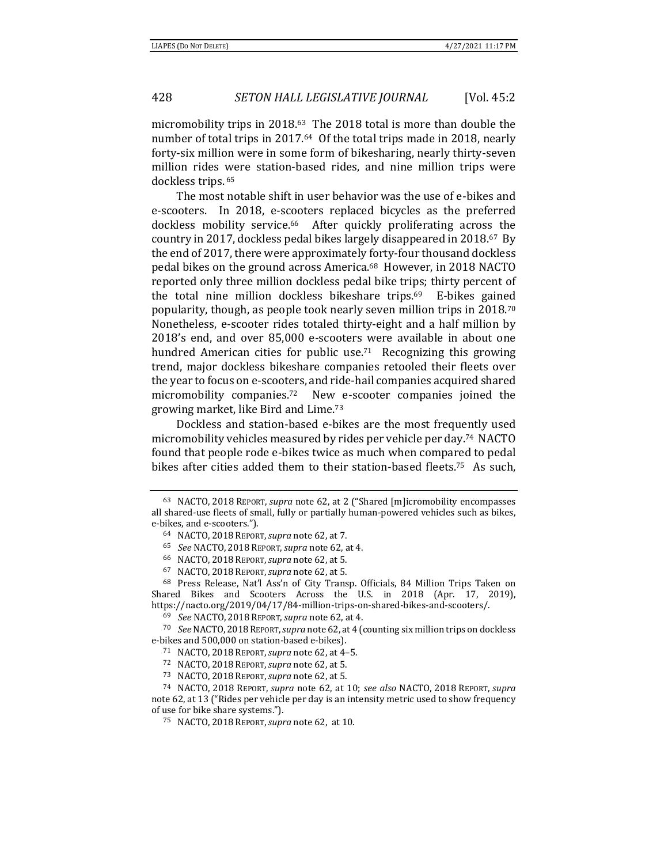micromobility trips in 2018.63 The 2018 total is more than double the number of total trips in 2017.64 Of the total trips made in 2018, nearly forty-six million were in some form of bikesharing, nearly thirty-seven million rides were station-based rides, and nine million trips were dockless trips. 65

The most notable shift in user behavior was the use of e-bikes and e-scooters. In 2018, e-scooters replaced bicycles as the preferred dockless mobility service.<sup>66</sup> After quickly proliferating across the country in 2017, dockless pedal bikes largely disappeared in 2018.67 By the end of 2017, there were approximately forty-four thousand dockless pedal bikes on the ground across America.68 However, in 2018 NACTO reported only three million dockless pedal bike trips; thirty percent of the total nine million dockless bikeshare trips.69 E-bikes gained popularity, though, as people took nearly seven million trips in 2018.70 Nonetheless, e-scooter rides totaled thirty-eight and a half million by 2018's end, and over 85,000 e-scooters were available in about one hundred American cities for public use.<sup>71</sup> Recognizing this growing trend, major dockless bikeshare companies retooled their fleets over the year to focus on e-scooters, and ride-hail companies acquired shared micromobility companies.72 New e-scooter companies joined the growing market, like Bird and Lime.73

Dockless and station-based e-bikes are the most frequently used micromobility vehicles measured by rides per vehicle per day.74 NACTO found that people rode e-bikes twice as much when compared to pedal bikes after cities added them to their station-based fleets.75 As such,

<sup>63</sup> NACTO, 2018 REPORT, *supra* note 62, at 2 ("Shared [m]icromobility encompasses all shared-use fleets of small, fully or partially human-powered vehicles such as bikes, e-bikes, and e-scooters."). 64 NACTO, <sup>2018</sup> REPORT,*supra* note 62, at 7.

<sup>&</sup>lt;sup>65</sup> *See* NACTO, 2018 REPORT, *supra* note 62, at 4.<br>
<sup>66</sup> NACTO, 2018 REPORT, *supra* note 62, at 5.<br>
<sup>67</sup> NACTO, 2018 REPORT, *supra* note 62, at 5.<br>
<sup>67</sup> NACTO, 2018 REPORT, *supra* note 62, at 5.<br>
<sup>68</sup> Press Release, Shared Bikes and Scooters Across the U.S. in 2018 (Apr. 17, 2019), https://nacto.org/2019/04/17/84-million-trips-on-shared-bikes-and-scooters/.

<sup>&</sup>lt;sup>69</sup> See NACTO, 2018 REPORT, *supra* note 62, at 4.<br><sup>70</sup> See NACTO, 2018 REPORT, *supra* note 62, at 4 (counting six million trips on dockless e-bikes and 500,000 on station-based e-bikes).<br>
<sup>71</sup> NACTO, 2018 Report, *supra* note 62, at 4–5.<br>
<sup>72</sup> NACTO, 2018 Report, *supra* note 62, at 5.<br>
<sup>73</sup> NACTO, 2018 Report, *supra* note 62, at 5.<br>
<sup>74</sup> NACTO, 2018 Report,

note 62, at 13 ("Rides per vehicle per day is an intensity metric used to show frequency of use for bike share systems.").

<sup>75</sup> NACTO, 2018 REPORT,*supra* note 62,at 10.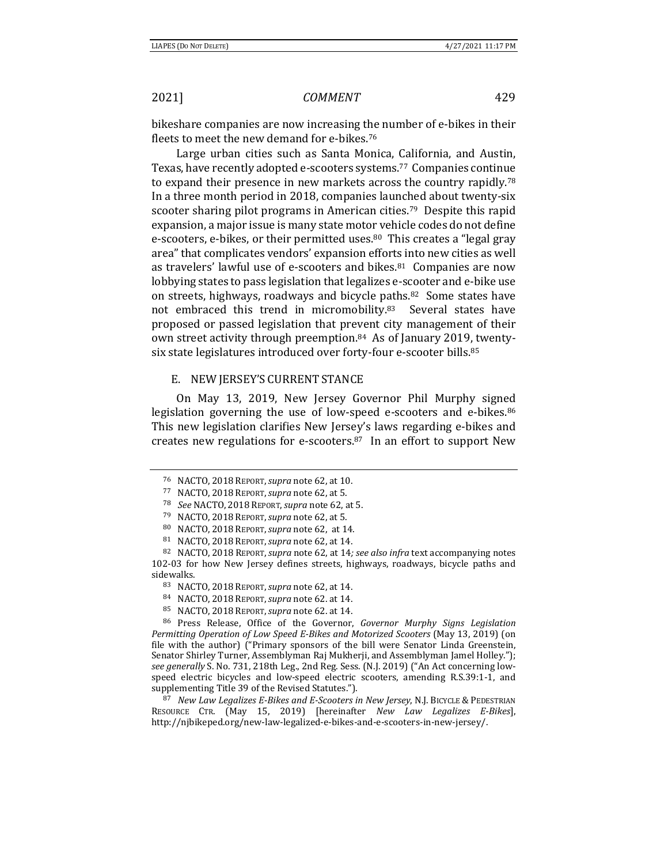bikeshare companies are now increasing the number of e-bikes in their fleets to meet the new demand for e-bikes.76

Large urban cities such as Santa Monica, California, and Austin, Texas, have recently adopted e-scooters systems.77 Companies continue to expand their presence in new markets across the country rapidly.78 In a three month period in 2018, companies launched about twenty-six scooter sharing pilot programs in American cities.79 Despite this rapid expansion, a major issue is many state motor vehicle codes do not define e-scooters, e-bikes, or their permitted uses.<sup>80</sup> This creates a "legal gray area" that complicates vendors' expansion efforts into new cities as well as travelers' lawful use of e-scooters and bikes.<sup>81</sup> Companies are now lobbying states to pass legislation that legalizes e-scooter and e-bike use on streets, highways, roadways and bicycle paths.82 Some states have not embraced this trend in micromobility.<sup>83</sup> Several states have proposed or passed legislation that prevent city management of their own street activity through preemption.84 As of January 2019, twentysix state legislatures introduced over forty-four e-scooter bills.<sup>85</sup>

### E. NEW JERSEY'S CURRENT STANCE

On May 13, 2019, New Jersey Governor Phil Murphy signed legislation governing the use of low-speed e-scooters and e-bikes.<sup>86</sup> This new legislation clarifies New Jersey's laws regarding e-bikes and creates new regulations for e-scooters.87 In an effort to support New

<sup>76</sup> NACTO, 2018 REPORT,*supra* note 62, at 10.

<sup>&</sup>lt;sup>77</sup> NACTO, 2018 REPORT, *supra* note 62, at 5.<br>
<sup>78</sup> See NACTO, 2018 REPORT, *supra* note 62, at 5.<br>
<sup>79</sup> NACTO, 2018 REPORT, *supra* note 62, at 5.<br>
<sup>80</sup> NACTO, 2018 REPORT, *supra* note 62, at 14.<br>
<sup>81</sup> NACTO, 2018 REP 102-03 for how New Jersey defines streets, highways, roadways, bicycle paths and sidewalks. 83 NACTO, <sup>2018</sup> REPORT,*supra* note 62, at 14. 84 NACTO, <sup>2018</sup> REPORT,*supra* note 62. at 14.

<sup>85</sup> NACTO, <sup>2018</sup> REPORT,*supra* note 62. at 14. 86 Press Release, Office of the Governor, *Governor Murphy Signs Legislation Permitting Operation of Low Speed E‐Bikes and Motorized Scooters* (May 13, 2019) (on file with the author) ("Primary sponsors of the bill were Senator Linda Greenstein, Senator Shirley Turner, Assemblyman Raj Mukherji, and Assemblyman Jamel Holley."); *see generally* S. No. 731, 218th Leg., 2nd Reg. Sess. (N.J. 2019) ("An Act concerning lowspeed electric bicycles and low-speed electric scooters, amending R.S.39:1-1, and supplementing Title 39 of the Revised Statutes.").

<sup>87</sup> *New Law Legalizes E‐Bikes and E‐Scooters in New Jersey*, N.J. BICYCLE & PEDESTRIAN RESOURCE CTR. (May 15, 2019) [hereinafter *New Law Legalizes E‐Bikes*], http://njbikeped.org/new-law-legalized-e-bikes-and-e-scooters-in-new-jersey/.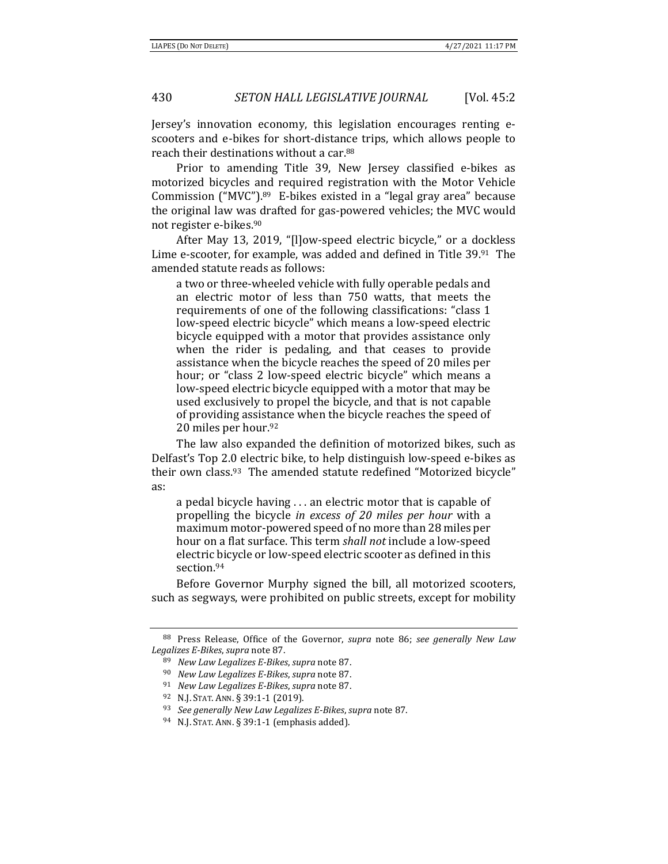Jersey's innovation economy, this legislation encourages renting escooters and e-bikes for short-distance trips, which allows people to reach their destinations without a car.88

Prior to amending Title 39, New Jersey classified e-bikes as motorized bicycles and required registration with the Motor Vehicle Commission ("MVC").89 E-bikes existed in a "legal gray area" because the original law was drafted for gas-powered vehicles; the MVC would not register e-bikes.90

After May 13, 2019, "[l]ow-speed electric bicycle," or a dockless Lime e-scooter, for example, was added and defined in Title 39.91 The amended statute reads as follows:

a two or three-wheeled vehicle with fully operable pedals and an electric motor of less than 750 watts, that meets the requirements of one of the following classifications: "class 1 low-speed electric bicycle" which means a low-speed electric bicycle equipped with a motor that provides assistance only when the rider is pedaling, and that ceases to provide assistance when the bicycle reaches the speed of 20 miles per hour; or "class 2 low-speed electric bicycle" which means a low-speed electric bicycle equipped with a motor that may be used exclusively to propel the bicycle, and that is not capable of providing assistance when the bicycle reaches the speed of 20 miles per hour.92

The law also expanded the definition of motorized bikes, such as Delfast's Top 2.0 electric bike, to help distinguish low-speed e-bikes as their own class.93 The amended statute redefined "Motorized bicycle" as:

a pedal bicycle having . . . an electric motor that is capable of propelling the bicycle *in excess of 20 miles per hour* with a maximum motor-powered speed of no more than 28 miles per hour on a flat surface. This term *shall not* include a low-speed electric bicycle or low-speed electric scooter as defined in this section.94

Before Governor Murphy signed the bill, all motorized scooters, such as segways, were prohibited on public streets, except for mobility

<sup>88</sup> Press Release, Office of the Governor, *supra* note 86; *see generally New Law* Legalizes E-Bikes, supra note 87.<br>
<sup>89</sup> New Law Legalizes E-Bikes, supra note 87.<br>
<sup>90</sup> New Law Legalizes E-Bikes, supra note 87.<br>
<sup>91</sup> New Law Legalizes E-Bikes, supra note 87.<br>
<sup>92</sup> N.J. STAT. ANN. § 39:1-1 (2019).<br>
<sup>93</sup>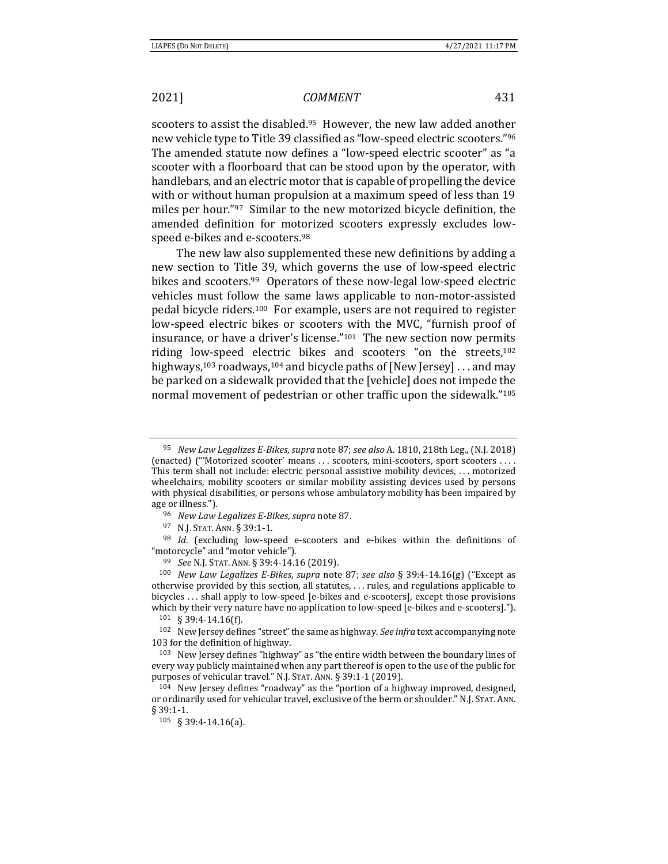scooters to assist the disabled.<sup>95</sup> However, the new law added another new vehicle type to Title 39 classified as "low-speed electric scooters."96 The amended statute now defines a "low-speed electric scooter" as "a scooter with a floorboard that can be stood upon by the operator, with handlebars, and an electric motor that is capable of propelling the device with or without human propulsion at a maximum speed of less than 19 miles per hour."97 Similar to the new motorized bicycle definition, the amended definition for motorized scooters expressly excludes lowspeed e-bikes and e-scooters.98

The new law also supplemented these new definitions by adding a new section to Title 39, which governs the use of low-speed electric bikes and scooters.<sup>99</sup> Operators of these now-legal low-speed electric vehicles must follow the same laws applicable to non-motor-assisted pedal bicycle riders.100 For example, users are not required to register low-speed electric bikes or scooters with the MVC, "furnish proof of insurance, or have a driver's license."101 The new section now permits riding low-speed electric bikes and scooters "on the streets,<sup>102</sup> highways,<sup>103</sup> roadways,<sup>104</sup> and bicycle paths of [New Jersey] ... and may be parked on a sidewalk provided that the [vehicle] does not impede the normal movement of pedestrian or other traffic upon the sidewalk."105

age or illness.").<br>
96 *New Law Legalizes E-Bikes, supra* note 87.<br>
97 N.J. STAT. ANN. § 39:1-1.<br>
98 *Id.* (excluding low-speed e-scooters and e-bikes within the definitions of "motorcycle" and "motor vehicle").

<sup>95</sup> *New Law Legalizes E‐Bikes*, *supra* note 87; *see also* A. 1810, 218th Leg., (N.J. 2018) (enacted) ("'Motorized scooter' means . . . scooters, mini-scooters, sport scooters . . . . This term shall not include: electric personal assistive mobility devices, . . . motorized wheelchairs, mobility scooters or similar mobility assisting devices used by persons with physical disabilities, or persons whose ambulatory mobility has been impaired by

<sup>&</sup>lt;sup>99</sup> See N.J. STAT. ANN. § 39:4-14.16 (2019).<br><sup>100</sup> New Law Legalizes E-Bikes, supra note 87; see also § 39:4-14.16(g) ("Except as otherwise provided by this section, all statutes, . . . rules, and regulations applicable to bicycles . . . shall apply to low-speed [e-bikes and e-scooters], except those provisions which by their very nature have no application to low-speed [e-bikes and e-scooters].").<br><sup>101</sup> § 39:4-14.16(f).<br><sup>102</sup> New Jersey defines "street" the same as highway. *See infra* text accompanying note

<sup>103</sup> for the definition of highway.

<sup>103</sup> New Jersey defines "highway" as "the entire width between the boundary lines of every way publicly maintained when any part thereof is open to the use of the public for purposes of vehicular travel." N.J. STAT. ANN.  $\S 39:1$ -1 (2019).<br><sup>104</sup> New Jersey defines "roadway" as the "portion of a highway improved, designed,

or ordinarily used for vehicular travel, exclusive of the berm or shoulder." N.J. STAT. ANN. § 39:1-1.

<sup>105 § 39:4-14.16(</sup>a).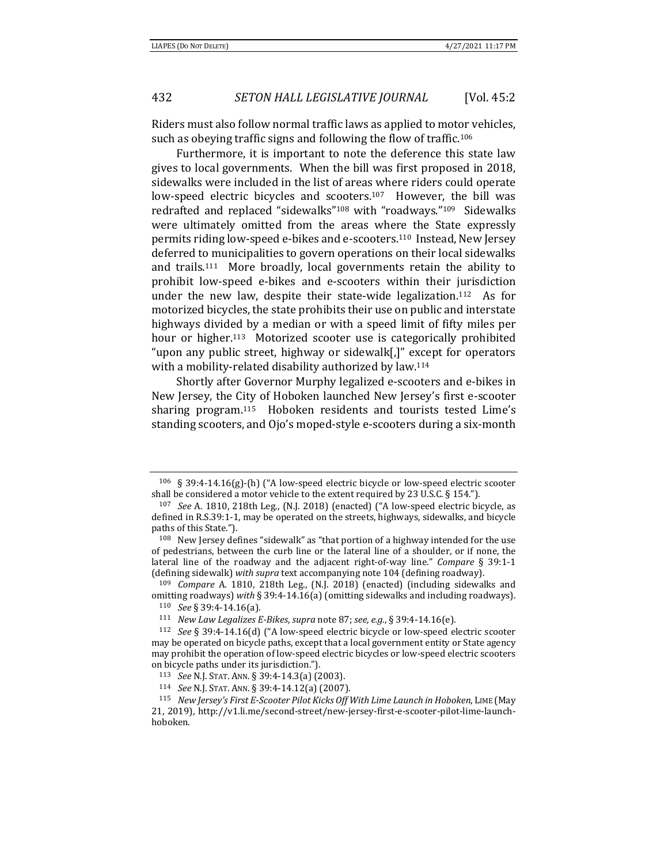Riders must also follow normal traffic laws as applied to motor vehicles, such as obeying traffic signs and following the flow of traffic.106

Furthermore, it is important to note the deference this state law gives to local governments. When the bill was first proposed in 2018, sidewalks were included in the list of areas where riders could operate low-speed electric bicycles and scooters.<sup>107</sup> However, the bill was redrafted and replaced "sidewalks"108 with "roadways."109 Sidewalks were ultimately omitted from the areas where the State expressly permits riding low-speed e-bikes and e-scooters.110 Instead, New Jersey deferred to municipalities to govern operations on their local sidewalks and trails.111 More broadly, local governments retain the ability to prohibit low-speed e-bikes and e-scooters within their jurisdiction under the new law, despite their state-wide legalization.112 As for motorized bicycles, the state prohibits their use on public and interstate highways divided by a median or with a speed limit of fifty miles per hour or higher.<sup>113</sup> Motorized scooter use is categorically prohibited "upon any public street, highway or sidewalk[,]" except for operators with a mobility-related disability authorized by law.<sup>114</sup>

Shortly after Governor Murphy legalized e-scooters and e-bikes in New Jersey, the City of Hoboken launched New Jersey's first e-scooter sharing program.115 Hoboken residents and tourists tested Lime's standing scooters, and Ojo's moped-style e-scooters during a six-month

<sup>106 § 39:4-14.16(</sup>g)-(h) ("A low-speed electric bicycle or low-speed electric scooter shall be considered a motor vehicle to the extent required by 23 U.S.C. § 154."). 107 *See* A. 1810, 218th Leg., (N.J. 2018) (enacted) ("A low-speed electric bicycle, as

defined in R.S.39:1-1, may be operated on the streets, highways, sidewalks, and bicycle paths of this State.").

<sup>108</sup> New Jersey defines "sidewalk" as "that portion of a highway intended for the use of pedestrians, between the curb line or the lateral line of a shoulder, or if none, the lateral line of the roadway and the adjacent right-of-way line." *Compare* § 39:1-1 (defining sidewalk) *with supra* text accompanying note 104 (defining roadway). 109 *Compare* A. 1810, 218th Leg., (N.J. 2018) (enacted) (including sidewalks and

omitting roadways) with § 39:4-14.16(a) (omitting sidewalks and including roadways).<br><sup>110</sup> See § 39:4-14.16(a).<br><sup>111</sup> New Law Legalizes E-Bikes, supra note 87; see, e.g., § 39:4-14.16(e).<br><sup>112</sup> See § 39:4-14.16(d) ("A low

may be operated on bicycle paths, except that a local government entity or State agency may prohibit the operation of low-speed electric bicycles or low-speed electric scooters on bicycle paths under its jurisdiction.").

<sup>113</sup> *See* N.J. STAT. ANN. § 39:4-14.3(a) (2003). 114 *See* N.J. STAT. ANN. § 39:4-14.12(a) (2007).

<sup>115</sup> *New Jersey's First E‐Scooter Pilot Kicks Off With Lime Launch in Hoboken*, LIME (May 21, 2019), http://v1.li.me/second-street/new-jersey-first-e-scooter-pilot-lime-launchhoboken.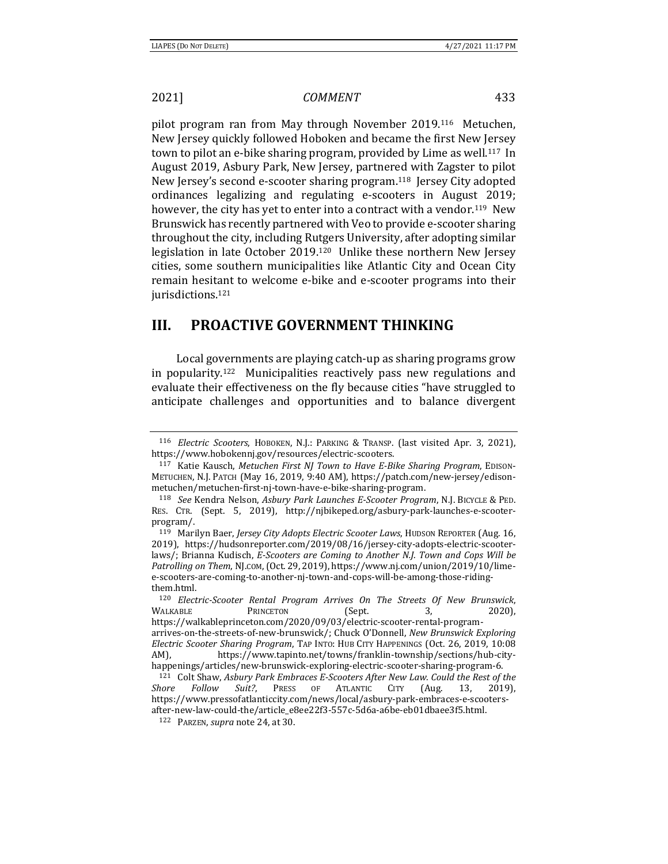pilot program ran from May through November 2019.116 Metuchen, New Jersey quickly followed Hoboken and became the first New Jersey town to pilot an e-bike sharing program, provided by Lime as well.<sup>117</sup> In August 2019, Asbury Park, New Jersey, partnered with Zagster to pilot New Jersey's second e-scooter sharing program.118 Jersey City adopted ordinances legalizing and regulating e-scooters in August 2019; however, the city has yet to enter into a contract with a vendor.<sup>119</sup> New Brunswick has recently partnered with Veo to provide e-scooter sharing throughout the city, including Rutgers University, after adopting similar legislation in late October 2019.120 Unlike these northern New Jersey cities, some southern municipalities like Atlantic City and Ocean City remain hesitant to welcome e-bike and e-scooter programs into their jurisdictions.<sup>121</sup>

# **III. PROACTIVE GOVERNMENT THINKING**

Local governments are playing catch-up as sharing programs grow in popularity.122 Municipalities reactively pass new regulations and evaluate their effectiveness on the fly because cities "have struggled to anticipate challenges and opportunities and to balance divergent

<sup>116</sup> *Electric Scooters*, HOBOKEN, N.J.: PARKING & TRANSP. (last visited Apr. 3, 2021), https://www.hobokennj.gov/resources/electric-scooters. 117 Katie Kausch, *Metuchen First NJ Town to Have <sup>E</sup>‐Bike Sharing Program*, EDISON-

METUCHEN, N.J. PATCH (May 16, 2019, 9:40 AM), https://patch.com/new-jersey/edisonmetuchen/metuchen-first-nj-town-have-e-bike-sharing-program.

<sup>118</sup> *See* Kendra Nelson, *Asbury Park Launches E‐Scooter Program*, N.J. BICYCLE & PED. RES. CTR. (Sept. 5, 2019), http://njbikeped.org/asbury-park-launches-e-scooterprogram/.

<sup>119</sup> Marilyn Baer, *Jersey City Adopts Electric Scooter Laws*, HUDSON REPORTER (Aug. 16, 2019), https://hudsonreporter.com/2019/08/16/jersey-city-adopts-electric-scooterlaws/; Brianna Kudisch, *E‐Scooters are Coming to Another N.J. Town and Cops Will be Patrolling on Them*, NJ.COM,(Oct. 29, 2019), https://www.nj.com/union/2019/10/limee-scooters-are-coming-to-another-nj-town-and-cops-will-be-among-those-ridingthem.html.

<sup>120</sup> *Electric‐Scooter Rental Program Arrives On The Streets Of New Brunswick*, WALKABLE PRINCETON (Sept. 3, 2020), https://walkableprinceton.com/2020/09/03/electric-scooter-rental-programarrives-on-the-streets-of-new-brunswick/; Chuck O'Donnell, *New Brunswick Exploring Electric Scooter Sharing Program*, TAP INTO: HUB CITY HAPPENINGS (Oct. 26, 2019, 10:08 AM), https://www.tapinto.net/towns/franklin-township/sections/hub-city-<br>happenings/articles/new-brunswick-exploring-electric-scooter-sharing-program-6.

<sup>&</sup>lt;sup>121</sup> Colt Shaw, Asbury Park Embraces E-Scooters After New Law. Could the Rest of the *Shore Follow Suit?*, PRESS OF ATLANTIC CITY (Aug. 13, 2019), https://www.pressofatlanticcity.com/news/local/asbury-park-embraces-e-scootersafter-new-law-could-the/article\_e8ee22f3-557c-5d6a-a6be-eb01dbaee3f5.html. 122 PARZEN, *supra* note 24, at 30.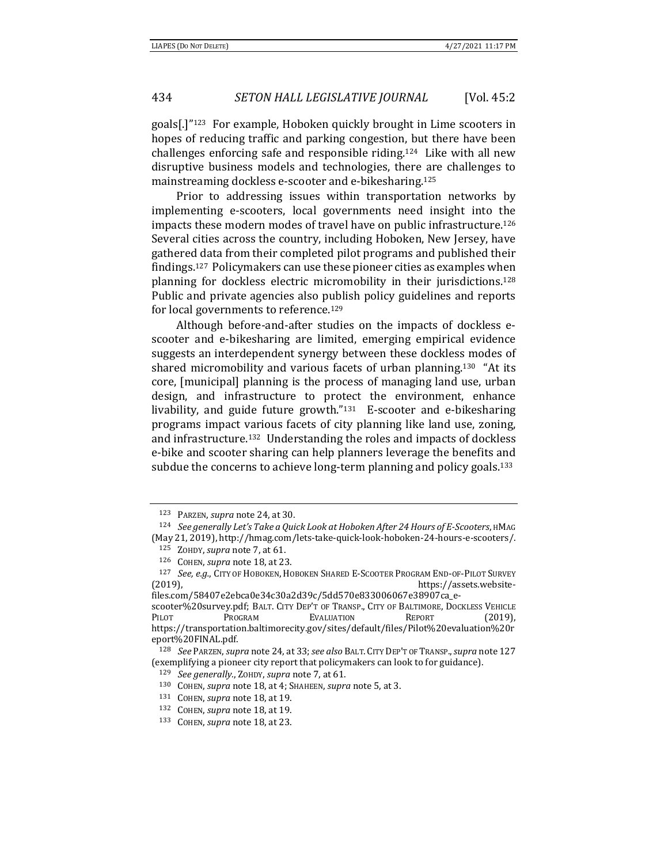goals[.]"123 For example, Hoboken quickly brought in Lime scooters in hopes of reducing traffic and parking congestion, but there have been challenges enforcing safe and responsible riding.124 Like with all new disruptive business models and technologies, there are challenges to mainstreaming dockless e-scooter and e-bikesharing.125

Prior to addressing issues within transportation networks by implementing e-scooters, local governments need insight into the impacts these modern modes of travel have on public infrastructure.126 Several cities across the country, including Hoboken, New Jersey, have gathered data from their completed pilot programs and published their findings.127 Policymakers can use these pioneer cities as examples when planning for dockless electric micromobility in their jurisdictions.128 Public and private agencies also publish policy guidelines and reports for local governments to reference.129

Although before-and-after studies on the impacts of dockless escooter and e-bikesharing are limited, emerging empirical evidence suggests an interdependent synergy between these dockless modes of shared micromobility and various facets of urban planning.130 "At its core, [municipal] planning is the process of managing land use, urban design, and infrastructure to protect the environment, enhance livability, and guide future growth."131 E-scooter and e-bikesharing programs impact various facets of city planning like land use, zoning, and infrastructure.132 Understanding the roles and impacts of dockless e-bike and scooter sharing can help planners leverage the benefits and subdue the concerns to achieve long-term planning and policy goals.<sup>133</sup>

<sup>&</sup>lt;sup>123</sup> PARZEN, supra note 24, at 30.<br><sup>124</sup> See generally Let's Take a Quick Look at Hoboken After 24 Hours of E-Scooters, HMAG (May 21, 2019), http://hmag.com/lets-take-quick-look-hoboken-24-hours-e-scooters/.

<sup>125</sup> ZOHDY, *supra* note 7, at 61. 126 COHEN, *supra* note 18, at 23. 127 *See, e.g.*, CITY OF HOBOKEN, HOBOKEN SHARED E-SCOOTER PROGRAM END-OF-PILOT SURVEY (2019), https://assets.website-

files.com/58407e2ebca0e34c30a2d39c/5dd570e833006067e38907ca\_escooter%20survey.pdf; BALT. CITY DEP'T OF TRANSP., CITY OF BALTIMORE, DOCKLESS VEHICLE PILOT PROGRAM EVALUATION REPORT (2019), https://transportation.baltimorecity.gov/sites/default/files/Pilot%20evaluation%20r eport%20FINAL.pdf.

<sup>128</sup> *See* PARZEN, *supra* note 24, at 33;*see also* BALT. CITY DEP'T OF TRANSP.,*supra* note 127 (exemplifying a pioneer city report that policy<br>makers can look to for guidance). <br> $^{129}$  See generally., ZOHDY, supra note 7, at 61.<br> $^{130}$  COHEN, supra note 18, at 4; SHAHEEN, supra note 5, at 3.<br> $^{131}$  COHEN, supra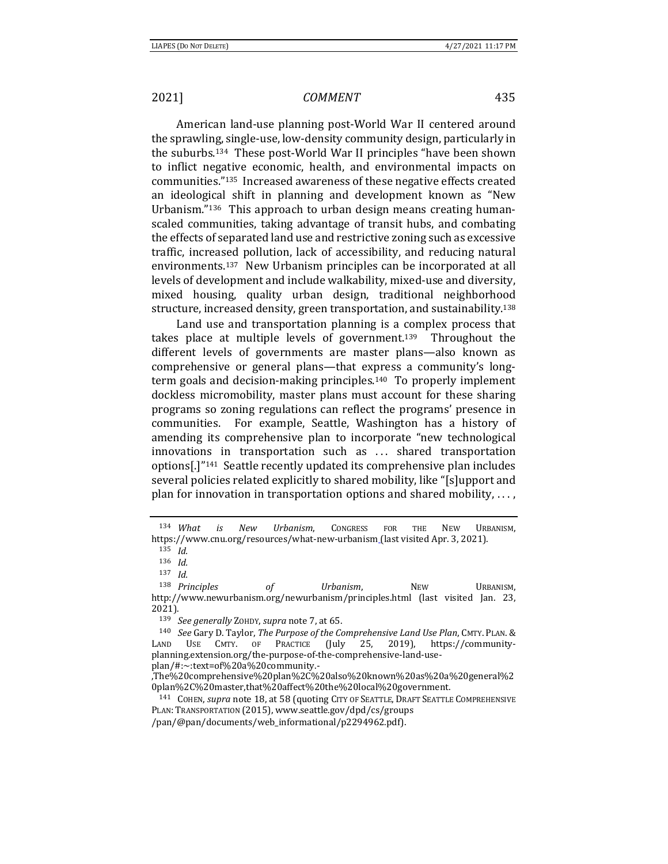American land-use planning post-World War II centered around the sprawling, single-use, low-density community design, particularly in the suburbs.134 These post-World War II principles "have been shown to inflict negative economic, health, and environmental impacts on communities."135 Increased awareness of these negative effects created an ideological shift in planning and development known as "New Urbanism."136 This approach to urban design means creating humanscaled communities, taking advantage of transit hubs, and combating the effects of separated land use and restrictive zoning such as excessive traffic, increased pollution, lack of accessibility, and reducing natural environments.137 New Urbanism principles can be incorporated at all levels of development and include walkability, mixed-use and diversity, mixed housing, quality urban design, traditional neighborhood structure, increased density, green transportation, and sustainability.138

Land use and transportation planning is a complex process that takes place at multiple levels of government.139 Throughout the different levels of governments are master plans—also known as comprehensive or general plans—that express a community's longterm goals and decision-making principles.140 To properly implement dockless micromobility, master plans must account for these sharing programs so zoning regulations can reflect the programs' presence in communities. For example, Seattle, Washington has a history of amending its comprehensive plan to incorporate "new technological innovations in transportation such as ... shared transportation options[.]"141 Seattle recently updated its comprehensive plan includes several policies related explicitly to shared mobility, like "[s]upport and plan for innovation in transportation options and shared mobility,  $\dots$ ,

<sup>134</sup> *What is New Urbanism*, CONGRESS FOR THE NEW URBANISM, https://www.cnu.org/resources/what-new-urbanism (last visited Apr. 3, 2021).

<sup>135</sup> *Id.*

<sup>136</sup> *Id.*

<sup>137</sup> *Id.*

<sup>138</sup> *Principles of Urbanism*, NEW URBANISM, http://www.newurbanism.org/newurbanism/principles.html (last visited Jan. 23, 2021).

<sup>139</sup> *See generally* ZOHDY, *supra* note 7, at 65. 140 *See* Gary D. Taylor, *The Purpose of the Comprehensive Land Use Plan*, CMTY. PLAN.& LAND USE CMTY. OF PRACTICE (July 25, 2019), https://communityplanning.extension.org/the-purpose-of-the-comprehensive-land-useplan/#:~:text=of%20a%20community.-

<sup>,</sup>The%20comprehensive%20plan%2C%20also%20known%20as%20a%20general%2

<sup>0</sup>plan%2C%20master,that%20affect%20the%20local%20government. 141 COHEN, *supra* note 18, at 58 (quoting CITY OF SEATTLE, DRAFT SEATTLE COMPREHENSIVE PLAN: TRANSPORTATION (2015), www.seattle.gov/dpd/cs/groups

<sup>/</sup>pan/@pan/documents/web\_informational/p2294962.pdf).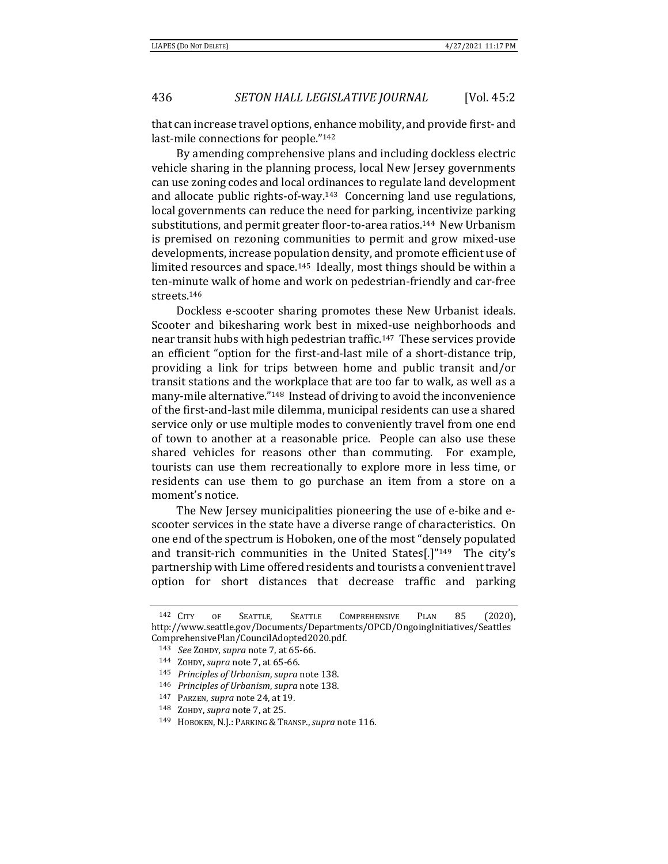that can increase travel options, enhance mobility, and provide first- and last-mile connections for people."142

By amending comprehensive plans and including dockless electric vehicle sharing in the planning process, local New Jersey governments can use zoning codes and local ordinances to regulate land development and allocate public rights-of-way.143 Concerning land use regulations, local governments can reduce the need for parking, incentivize parking substitutions, and permit greater floor-to-area ratios.144 New Urbanism is premised on rezoning communities to permit and grow mixed-use developments, increase population density, and promote efficient use of limited resources and space.<sup>145</sup> Ideally, most things should be within a ten-minute walk of home and work on pedestrian-friendly and car-free streets.146

Dockless e-scooter sharing promotes these New Urbanist ideals. Scooter and bikesharing work best in mixed-use neighborhoods and near transit hubs with high pedestrian traffic.147 These services provide an efficient "option for the first-and-last mile of a short-distance trip, providing a link for trips between home and public transit and/or transit stations and the workplace that are too far to walk, as well as a many-mile alternative."148 Instead of driving to avoid the inconvenience of the first-and-last mile dilemma, municipal residents can use a shared service only or use multiple modes to conveniently travel from one end of town to another at a reasonable price. People can also use these shared vehicles for reasons other than commuting. For example, tourists can use them recreationally to explore more in less time, or residents can use them to go purchase an item from a store on a moment's notice.

The New Jersey municipalities pioneering the use of e-bike and escooter services in the state have a diverse range of characteristics. On one end of the spectrum is Hoboken, one of the most "densely populated and transit-rich communities in the United States[.]"149 The city's partnership with Lime offered residents and tourists a convenient travel option for short distances that decrease traffic and parking

<sup>142</sup> CITY OF SEATTLE, SEATTLE COMPREHENSIVE PLAN 85 (2020), http://www.seattle.gov/Documents/Departments/OPCD/OngoingInitiatives/Seattles ComprehensivePlan/CouncilAdopted2020.pdf. 143 *See* ZOHDY, *supra* note 7, at 65-66. 144 ZOHDY, *supra* note 7, at 65-66.

<sup>&</sup>lt;sup>145</sup> Principles of Urbanism, supra note 138.<br><sup>146</sup> Principles of Urbanism, supra note 138.<br><sup>147</sup> PARZEN, supra note 24, at 19.<br><sup>148</sup> ZOHDY, supra note 7, at 25.<br><sup>149</sup> HOBOKEN, N.J.: PARKING & TRANSP., supra note 116.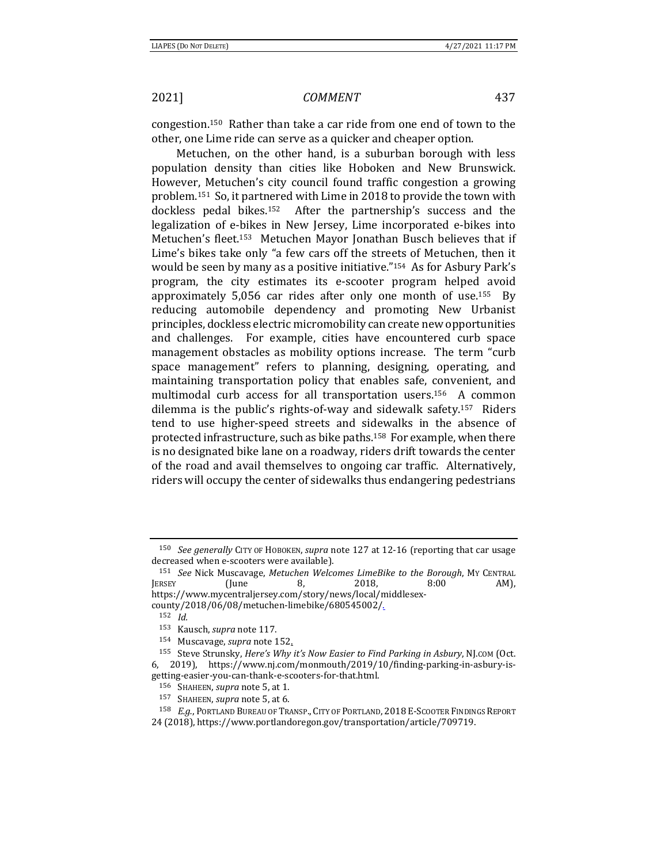congestion.150 Rather than take a car ride from one end of town to the other, one Lime ride can serve as a quicker and cheaper option.

Metuchen, on the other hand, is a suburban borough with less population density than cities like Hoboken and New Brunswick. However, Metuchen's city council found traffic congestion a growing problem.151 So, it partnered with Lime in 2018 to provide the town with dockless pedal bikes.152 After the partnership's success and the legalization of e-bikes in New Jersey, Lime incorporated e-bikes into Metuchen's fleet.153 Metuchen Mayor Jonathan Busch believes that if Lime's bikes take only "a few cars off the streets of Metuchen, then it would be seen by many as a positive initiative."154 As for Asbury Park's program, the city estimates its e-scooter program helped avoid approximately 5,056 car rides after only one month of use.155 By reducing automobile dependency and promoting New Urbanist principles, dockless electric micromobility can create new opportunities and challenges. For example, cities have encountered curb space management obstacles as mobility options increase. The term "curb space management" refers to planning, designing, operating, and maintaining transportation policy that enables safe, convenient, and multimodal curb access for all transportation users.156 A common dilemma is the public's rights-of-way and sidewalk safety.157 Riders tend to use higher-speed streets and sidewalks in the absence of protected infrastructure, such as bike paths.158 For example, when there is no designated bike lane on a roadway, riders drift towards the center of the road and avail themselves to ongoing car traffic. Alternatively, riders will occupy the center of sidewalks thus endangering pedestrians

<sup>150</sup> *See generally* CITY OF HOBOKEN, *supra* note 127 at 12-16 (reporting that car usage decreased when e-scooters were available).

<sup>151</sup> *See* Nick Muscavage, *Metuchen Welcomes LimeBike to the Borough*, MY CENTRAL JERSEY (June 8, 2018, 8:00 AM), https://www.mycentraljersey.com/story/news/local/middlesexcounty/2018/06/08/metuchen-limebike/680545002/.

<sup>152</sup> *Id.*

<sup>153</sup> Kausch, *supra* note 117.

<sup>154</sup> Muscavage, *supra* note 152.

<sup>155</sup> Steve Strunsky, *Here's Why it's Now Easier to Find Parking in Asbury*, NJ.COM (Oct. 6, 2019), https://www.nj.com/monmouth/2019/10/finding-parking-in-asbury-isgetting-easier-you-can-thank-e-scooters-for-that.html.

<sup>156</sup> SHAHEEN, *supra* note 5, at 1.

<sup>157</sup> SHAHEEN, *supra* note 5, at 6.

<sup>158</sup> *E.g.*, PORTLAND BUREAU OF TRANSP., CITY OF PORTLAND, 2018 E-SCOOTER FINDINGS REPORT 24 (2018), https://www.portlandoregon.gov/transportation/article/709719.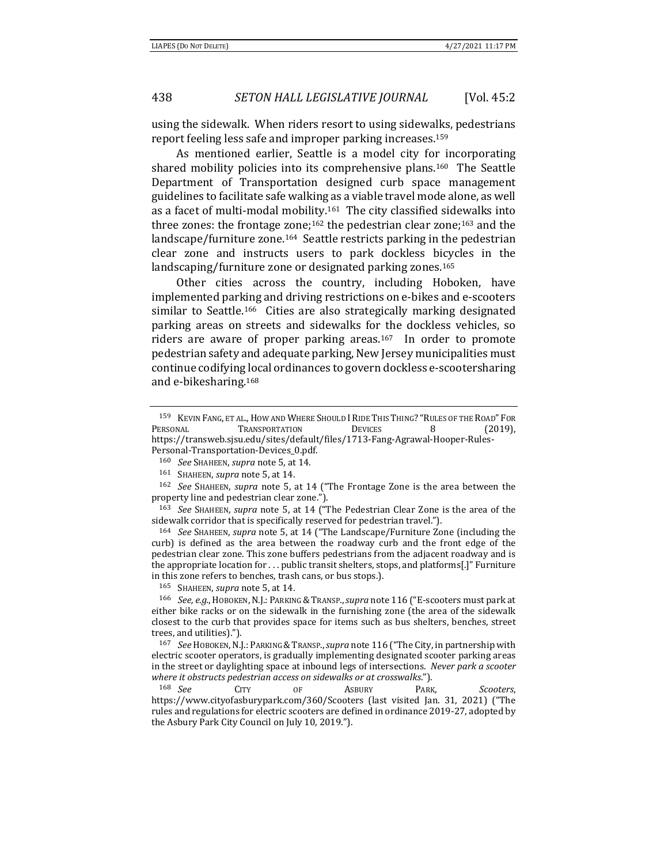using the sidewalk. When riders resort to using sidewalks, pedestrians report feeling less safe and improper parking increases.159

As mentioned earlier, Seattle is a model city for incorporating shared mobility policies into its comprehensive plans.160 The Seattle Department of Transportation designed curb space management guidelines to facilitate safe walking as a viable travel mode alone, as well as a facet of multi-modal mobility.161 The city classified sidewalks into three zones: the frontage zone;<sup>162</sup> the pedestrian clear zone;<sup>163</sup> and the landscape/furniture zone.164 Seattle restricts parking in the pedestrian clear zone and instructs users to park dockless bicycles in the landscaping/furniture zone or designated parking zones.<sup>165</sup>

Other cities across the country, including Hoboken, have implemented parking and driving restrictions on e-bikes and e-scooters similar to Seattle.<sup>166</sup> Cities are also strategically marking designated parking areas on streets and sidewalks for the dockless vehicles, so riders are aware of proper parking areas.167 In order to promote pedestrian safety and adequate parking, New Jersey municipalities must continue codifying local ordinances to govern dockless e-scootersharing and e-bikesharing.168

Personal-Transportation-Devices\_0.pdf.<br><sup>160</sup> See SHAHEEN, supra note 5, at 14.<br><sup>161</sup> SHAHEEN, supra note 5, at 14.<br><sup>162</sup> See SHAHEEN, supra note 5, at 14 ("The Frontage Zone is the area between the property line and pedestrian clear zone.").

<sup>163</sup> *See* SHAHEEN, *supra* note 5, at 14 ("The Pedestrian Clear Zone is the area of the sidewalk corridor that is specifically reserved for pedestrian travel."). 164 *See* SHAHEEN, *supra* note 5, at 14 ("The Landscape/Furniture Zone (including the

curb) is defined as the area between the roadway curb and the front edge of the pedestrian clear zone. This zone buffers pedestrians from the adjacent roadway and is the appropriate location for . . . public transit shelters, stops, and platforms[.]" Furniture in this zone refers to benches, trash cans, or bus stops.).

165 SHAHEEN, *supra* note 5, at 14.<br><sup>166</sup> *See, e.g.*, HOBOKEN, N.J.: PARKING & TRANSP., *supra* note 116 ("E-scooters must park at either bike racks or on the sidewalk in the furnishing zone (the area of the sidewalk closest to the curb that provides space for items such as bus shelters, benches, street trees, and utilities).").

<sup>167</sup> *See* HOBOKEN,N.J.: PARKING &TRANSP.,*supra* note 116 ("The City, in partnership with electric scooter operators, is gradually implementing designated scooter parking areas in the street or daylighting space at inbound legs of intersections. *Never park a scooter where it obstructs pedestrian access on sidewalks or at crosswalks*."). 168 *See* CITY OF ASBURY PARK, *Scooters*,

https://www.cityofasburypark.com/360/Scooters (last visited Jan. 31, 2021) ("The rules and regulations for electric scooters are defined in ordinance 2019-27, adopted by the Asbury Park City Council on July 10, 2019.").

<sup>159</sup> KEVIN FANG, ET AL., HOW AND WHERE SHOULD I RIDE THIS THING? "RULES OF THE ROAD" FOR PERSONAL **TRANSPORTATION** DEVICES 8 (2019), https://transweb.sjsu.edu/sites/default/files/1713-Fang-Agrawal-Hooper-Rules-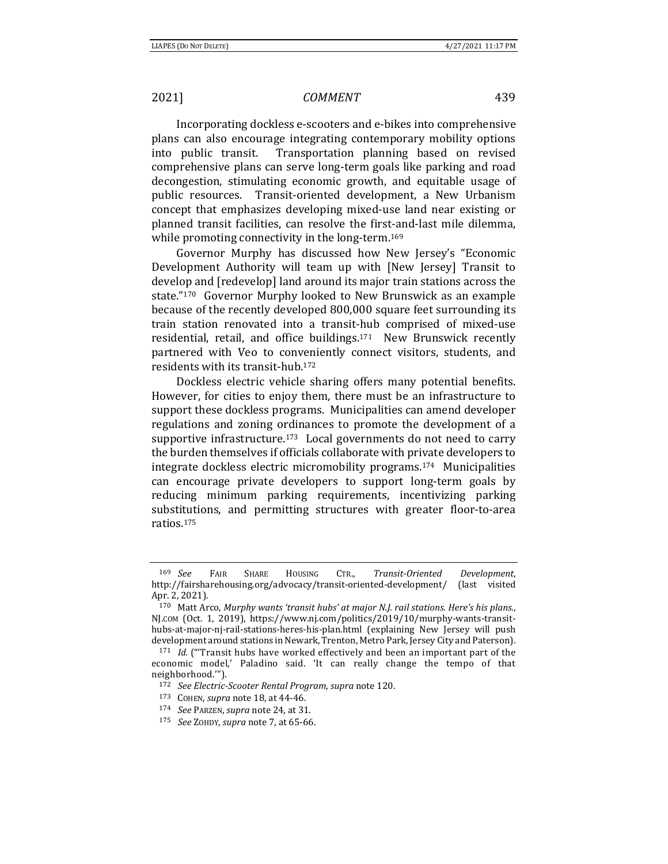Incorporating dockless e-scooters and e-bikes into comprehensive plans can also encourage integrating contemporary mobility options into public transit. Transportation planning based on revised comprehensive plans can serve long-term goals like parking and road decongestion, stimulating economic growth, and equitable usage of public resources. Transit-oriented development, a New Urbanism concept that emphasizes developing mixed-use land near existing or planned transit facilities, can resolve the first-and-last mile dilemma, while promoting connectivity in the long-term.<sup>169</sup>

Governor Murphy has discussed how New Jersey's "Economic Development Authority will team up with [New Jersey] Transit to develop and [redevelop] land around its major train stations across the state."170 Governor Murphy looked to New Brunswick as an example because of the recently developed 800,000 square feet surrounding its train station renovated into a transit-hub comprised of mixed-use residential, retail, and office buildings.171 New Brunswick recently partnered with Veo to conveniently connect visitors, students, and residents with its transit-hub.172

Dockless electric vehicle sharing offers many potential benefits. However, for cities to enjoy them, there must be an infrastructure to support these dockless programs. Municipalities can amend developer regulations and zoning ordinances to promote the development of a supportive infrastructure.<sup>173</sup> Local governments do not need to carry the burden themselves if officials collaborate with private developers to integrate dockless electric micromobility programs.174 Municipalities can encourage private developers to support long-term goals by reducing minimum parking requirements, incentivizing parking substitutions, and permitting structures with greater floor-to-area ratios.175

<sup>169</sup> *See* FAIR SHARE HOUSING CTR., *Transit‐Oriented Development*, http://fairsharehousing.org/advocacy/transit-oriented-development/ (last visited Apr. 2, 2021).

<sup>170</sup> Matt Arco, *Murphy wants 'transit hubs' at major N.J. rail stations. Here's his plans.*, NJ.COM (Oct. 1, 2019), https://www.nj.com/politics/2019/10/murphy-wants-transithubs-at-major-nj-rail-stations-heres-his-plan.html (explaining New Jersey will push development around stations in Newark, Trenton, Metro Park, Jersey City and Paterson). 171 *Id.* ("'Transit hubs have worked effectively and been an important part of the

economic model,' Paladino said. 'It can really change the tempo of that neighborhood.'").

<sup>172</sup> *See Electric‐Scooter Rental Program*, *supra* note 120. 173 COHEN, *supra* note 18, at 44-46. 174 *See* PARZEN, *supra* note 24, at 31.

<sup>175</sup> *See* ZOHDY, *supra* note 7, at 65-66.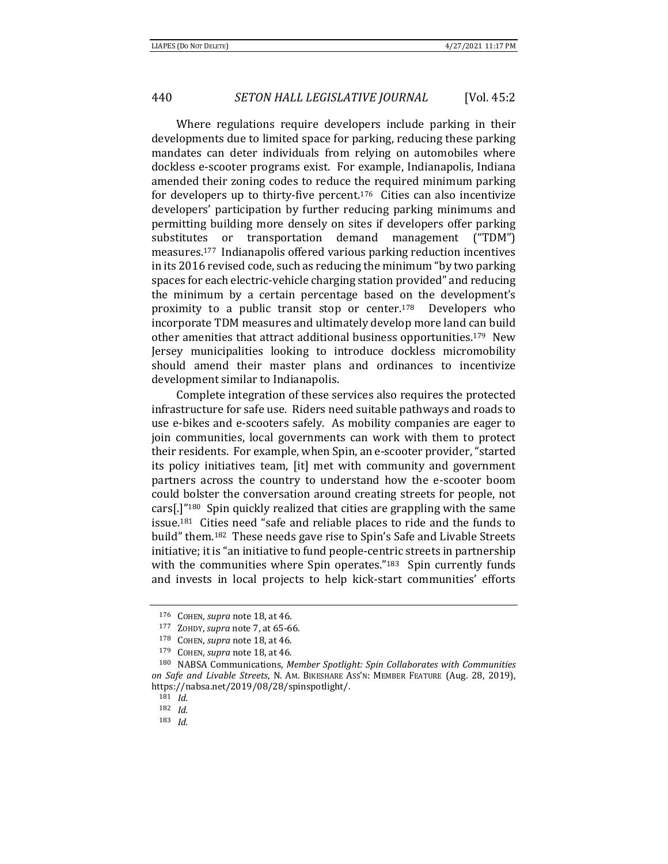Where regulations require developers include parking in their developments due to limited space for parking, reducing these parking mandates can deter individuals from relying on automobiles where dockless e-scooter programs exist. For example, Indianapolis, Indiana amended their zoning codes to reduce the required minimum parking for developers up to thirty-five percent.<sup>176</sup> Cities can also incentivize developers' participation by further reducing parking minimums and permitting building more densely on sites if developers offer parking substitutes or transportation demand management ("TDM") measures.177 Indianapolis offered various parking reduction incentives in its 2016 revised code, such as reducing the minimum "by two parking spaces for each electric-vehicle charging station provided" and reducing the minimum by a certain percentage based on the development's proximity to a public transit stop or center.178 Developers who incorporate TDM measures and ultimately develop more land can build other amenities that attract additional business opportunities.179 New Jersey municipalities looking to introduce dockless micromobility should amend their master plans and ordinances to incentivize development similar to Indianapolis.

Complete integration of these services also requires the protected infrastructure for safe use. Riders need suitable pathways and roads to use e-bikes and e-scooters safely. As mobility companies are eager to join communities, local governments can work with them to protect their residents. For example, when Spin, an e-scooter provider, "started its policy initiatives team, [it] met with community and government partners across the country to understand how the e-scooter boom could bolster the conversation around creating streets for people, not cars[.]"180 Spin quickly realized that cities are grappling with the same issue.181 Cities need "safe and reliable places to ride and the funds to build" them.182 These needs gave rise to Spin's Safe and Livable Streets initiative; it is "an initiative to fund people-centric streets in partnership with the communities where Spin operates."<sup>183</sup> Spin currently funds and invests in local projects to help kick-start communities' efforts

<sup>&</sup>lt;sup>176</sup> COHEN, supra note 18, at 46.<br>
<sup>177</sup> ZOHDY, supra note 7, at 65-66.<br>
<sup>178</sup> COHEN, supra note 18, at 46.<br>
<sup>179</sup> COHEN, supra note 18, at 46.<br>
<sup>179</sup> COHEN, supra note 18, at 46.<br>
<sup>180</sup> NABSA Communications, *Member Spo on Safe and Livable Streets*, N. AM. BIKESHARE ASS'N: MEMBER FEATURE (Aug. 28, 2019), https://nabsa.net/2019/08/28/spinspotlight/. 181 *Id.*

<sup>182</sup> *Id.*

<sup>183</sup> *Id.*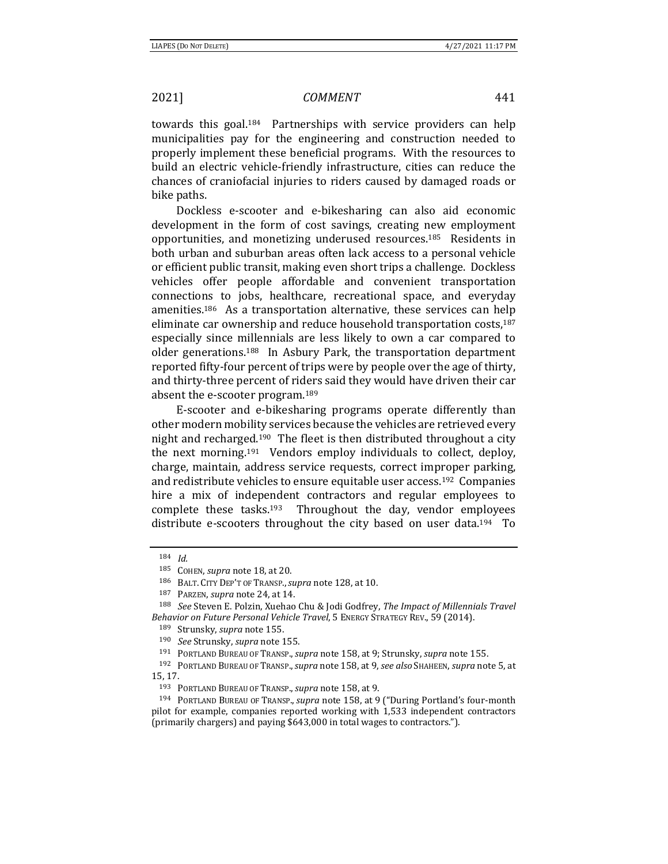towards this goal.184 Partnerships with service providers can help municipalities pay for the engineering and construction needed to properly implement these beneficial programs. With the resources to build an electric vehicle-friendly infrastructure, cities can reduce the chances of craniofacial injuries to riders caused by damaged roads or bike paths.

Dockless e-scooter and e-bikesharing can also aid economic development in the form of cost savings, creating new employment opportunities, and monetizing underused resources.185 Residents in both urban and suburban areas often lack access to a personal vehicle or efficient public transit, making even short trips a challenge. Dockless vehicles offer people affordable and convenient transportation connections to jobs, healthcare, recreational space, and everyday amenities.186 As a transportation alternative, these services can help eliminate car ownership and reduce household transportation costs,<sup>187</sup> especially since millennials are less likely to own a car compared to older generations.188 In Asbury Park, the transportation department reported fifty-four percent of trips were by people over the age of thirty, and thirty-three percent of riders said they would have driven their car absent the e-scooter program.189

E-scooter and e-bikesharing programs operate differently than other modern mobility services because the vehicles are retrieved every night and recharged.190 The fleet is then distributed throughout a city the next morning.191 Vendors employ individuals to collect, deploy, charge, maintain, address service requests, correct improper parking, and redistribute vehicles to ensure equitable user access.192 Companies hire a mix of independent contractors and regular employees to complete these tasks.193 Throughout the day, vendor employees distribute e-scooters throughout the city based on user data.<sup>194</sup> To

<sup>184</sup> *Id.*

<sup>&</sup>lt;sup>185</sup> COHEN, *supra* note 18, at 20.<br><sup>186</sup> BALT. CITY DEP'T OF TRANSP., *supra* note 128, at 10.<br><sup>187</sup> PARZEN, *supra* note 24, at 14.<br><sup>188</sup> *See* Steven E. Polzin, Xuehao Chu & Jodi Godfrey, *The Impact of Millennials Tra* Behavior on Future Personal Vehicle Travel, 5 ENERGY STRATEGY REV., 59 (2014).<br><sup>189</sup> Strunsky, *supra* note 155.<br><sup>190</sup> See Strunsky, *supra* note 155.<br><sup>191</sup> PORTLAND BUREAU OF TRANSP., *supra* note 158, at 9; Strunsky, *s* 

<sup>15, 17.</sup> 

<sup>193</sup> PORTLAND BUREAU OF TRANSP.,*supra* note 158, at 9. 194 PORTLAND BUREAU OF TRANSP., *supra* note 158, at 9 ("During Portland's four-month pilot for example, companies reported working with 1,533 independent contractors (primarily chargers) and paying \$643,000 in total wages to contractors.").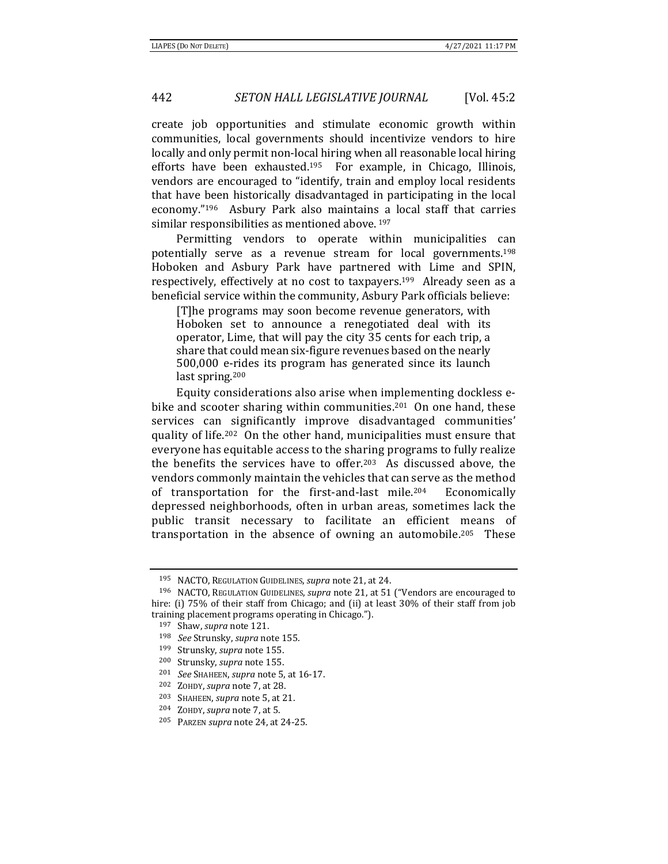create job opportunities and stimulate economic growth within communities, local governments should incentivize vendors to hire locally and only permit non-local hiring when all reasonable local hiring efforts have been exhausted.195 For example, in Chicago, Illinois, vendors are encouraged to "identify, train and employ local residents that have been historically disadvantaged in participating in the local economy."196 Asbury Park also maintains a local staff that carries similar responsibilities as mentioned above. 197

Permitting vendors to operate within municipalities can potentially serve as a revenue stream for local governments.198 Hoboken and Asbury Park have partnered with Lime and SPIN, respectively, effectively at no cost to taxpayers.199 Already seen as a beneficial service within the community, Asbury Park officials believe:

[T]he programs may soon become revenue generators, with Hoboken set to announce a renegotiated deal with its operator, Lime, that will pay the city 35 cents for each trip, a share that could mean six-figure revenues based on the nearly 500,000 e-rides its program has generated since its launch last spring.200

Equity considerations also arise when implementing dockless ebike and scooter sharing within communities.<sup>201</sup> On one hand, these services can significantly improve disadvantaged communities' quality of life.202 On the other hand, municipalities must ensure that everyone has equitable access to the sharing programs to fully realize the benefits the services have to offer.203 As discussed above, the vendors commonly maintain the vehicles that can serve as the method of transportation for the first-and-last mile.204 Economically depressed neighborhoods, often in urban areas, sometimes lack the public transit necessary to facilitate an efficient means of transportation in the absence of owning an automobile.205 These

- 
- 
- 
- 205 PARZEN *supra* note 24, at 24-25.

<sup>195</sup> NACTO, REGULATION GUIDELINES, *supra* note 21, at 24. 196 NACTO, REGULATION GUIDELINES, *supra* note 21, at 51 ("Vendors are encouraged to hire: (i) 75% of their staff from Chicago; and (ii) at least 30% of their staff from job training placement programs operating in Chicago.").

<sup>197</sup> Shaw, *supra* note 121. 198 *See* Strunsky, *supra* note 155.

<sup>&</sup>lt;sup>199</sup> Strunsky, *supra* note 155.<br>
<sup>200</sup> Strunsky, *supra* note 155.<br>
<sup>201</sup> *See* SHAHEEN, *supra* note 5, at 16-17.<br>
<sup>202</sup> ZOHDY, *supra* note 7, at 28.<br>
<sup>203</sup> SHAHEEN, *supra* note 5, at 21.<br>
<sup>204</sup> ZOHDY, *supra* note 7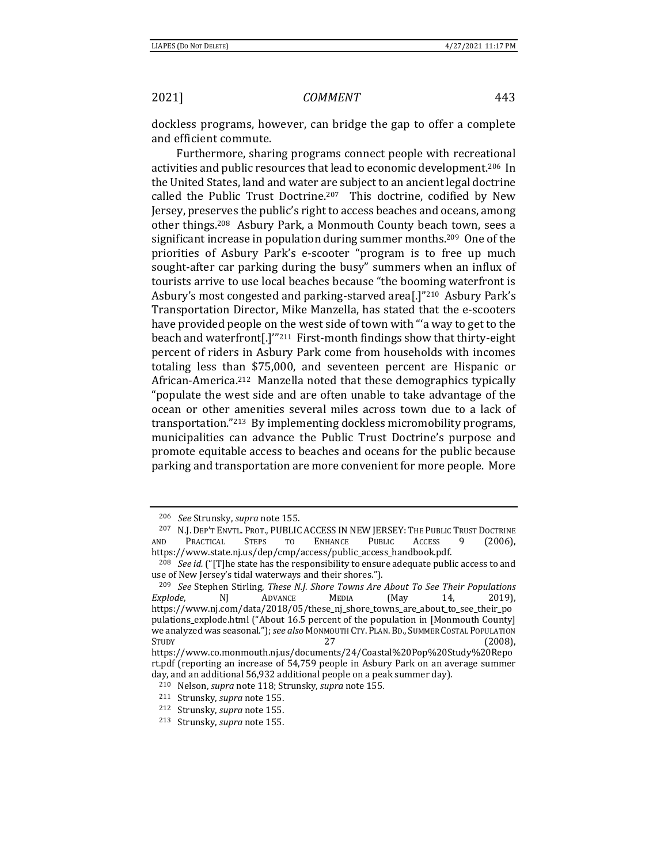dockless programs, however, can bridge the gap to offer a complete and efficient commute.

Furthermore, sharing programs connect people with recreational activities and public resources that lead to economic development.206 In the United States, land and water are subject to an ancient legal doctrine called the Public Trust Doctrine.<sup>207</sup> This doctrine, codified by New Jersey, preserves the public's right to access beaches and oceans, among other things.208 Asbury Park, a Monmouth County beach town, sees a significant increase in population during summer months.209 One of the priorities of Asbury Park's e-scooter "program is to free up much sought-after car parking during the busy" summers when an influx of tourists arrive to use local beaches because "the booming waterfront is Asbury's most congested and parking-starved area[.]"210 Asbury Park's Transportation Director, Mike Manzella, has stated that the e-scooters have provided people on the west side of town with "'a way to get to the beach and waterfront[.]'"211 First-month findings show that thirty-eight percent of riders in Asbury Park come from households with incomes totaling less than \$75,000, and seventeen percent are Hispanic or African-America.212 Manzella noted that these demographics typically "populate the west side and are often unable to take advantage of the ocean or other amenities several miles across town due to a lack of transportation."213 By implementing dockless micromobility programs, municipalities can advance the Public Trust Doctrine's purpose and promote equitable access to beaches and oceans for the public because parking and transportation are more convenient for more people. More

<sup>206</sup> *See* Strunsky, *supra* note 155. 207 N.J. DEP'T ENVTL. PROT., PUBLIC ACCESS IN NEW JERSEY: THE PUBLIC TRUST DOCTRINE AND PRACTICAL STEPS TO ENHANCE PUBLIC ACCESS 9 (2006),

https://www.state.nj.us/dep/cmp/access/public\_access\_handbook.pdf. 208 *See id.* ("[T]he state has the responsibility to ensure adequate public access to and use of New Jersey's tidal waterways and their shores.").

<sup>209</sup> *See* Stephen Stirling, *These N.J. Shore Towns Are About To See Their Populations Explode*, NJ ADVANCE MEDIA (May 14, 2019), https://www.nj.com/data/2018/05/these\_nj\_shore\_towns\_are\_about\_to\_see\_their\_po pulations\_explode.html ("About 16.5 percent of the population in [Monmouth County] we analyzed was seasonal."); *see also* MONMOUTH CTY.PLAN.BD., SUMMER COSTAL POPULATION  $S$ TUDY (2008), https://www.co.monmouth.nj.us/documents/24/Coastal%20Pop%20Study%20Repo

rt.pdf (reporting an increase of 54,759 people in Asbury Park on an average summer day, and an additional 56,932 additional people on a peak summer day).<br>
<sup>210</sup> Nelson, *supra* note 118; Strunsky, *supra* note 155.<br>
<sup>211</sup> Strunsky, *supra* note 155.<br>
<sup>212</sup> Strunsky, *supra* note 155.<br>
<sup>213</sup> Strunsky, *s*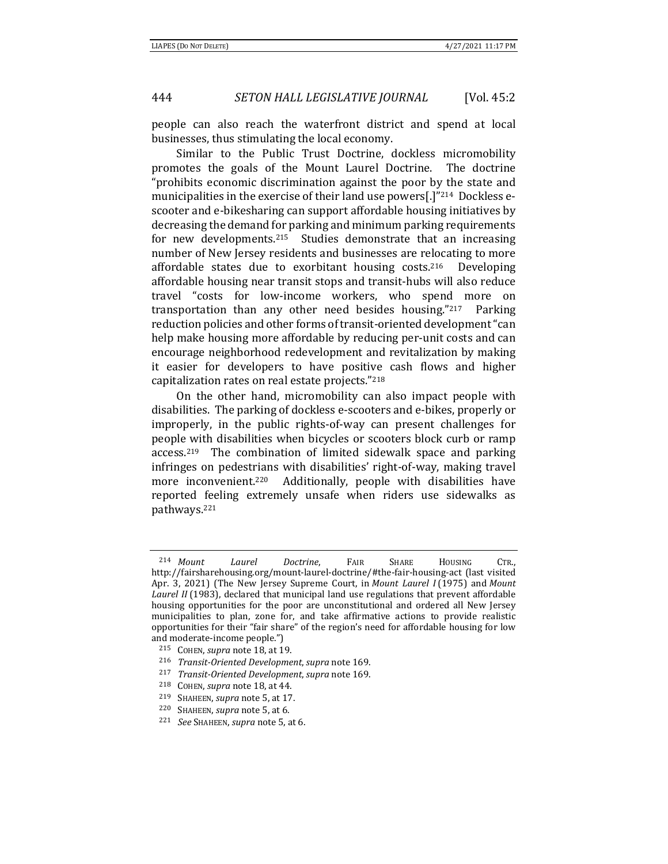people can also reach the waterfront district and spend at local businesses, thus stimulating the local economy.

Similar to the Public Trust Doctrine, dockless micromobility promotes the goals of the Mount Laurel Doctrine. The doctrine "prohibits economic discrimination against the poor by the state and municipalities in the exercise of their land use powers[.]"<sup>214</sup> Dockless escooter and e-bikesharing can support affordable housing initiatives by decreasing the demand for parking and minimum parking requirements for new developments.<sup>215</sup> Studies demonstrate that an increasing number of New Jersey residents and businesses are relocating to more affordable states due to exorbitant housing costs.216 Developing affordable housing near transit stops and transit-hubs will also reduce travel "costs for low-income workers, who spend more on transportation than any other need besides housing."217 Parking reduction policies and other forms of transit-oriented development "can help make housing more affordable by reducing per-unit costs and can encourage neighborhood redevelopment and revitalization by making it easier for developers to have positive cash flows and higher capitalization rates on real estate projects."218

On the other hand, micromobility can also impact people with disabilities. The parking of dockless e-scooters and e-bikes, properly or improperly, in the public rights-of-way can present challenges for people with disabilities when bicycles or scooters block curb or ramp access.219 The combination of limited sidewalk space and parking infringes on pedestrians with disabilities' right-of-way, making travel more inconvenient.<sup>220</sup> Additionally, people with disabilities have reported feeling extremely unsafe when riders use sidewalks as pathways.221

<sup>214</sup> *Mount Laurel Doctrine*, FAIR SHARE HOUSING CTR., http://fairsharehousing.org/mount-laurel-doctrine/#the-fair-housing-act (last visited Apr. 3, 2021) (The New Jersey Supreme Court, in *Mount Laurel I* (1975) and *Mount Laurel II* (1983), declared that municipal land use regulations that prevent affordable housing opportunities for the poor are unconstitutional and ordered all New Jersey municipalities to plan, zone for, and take affirmative actions to provide realistic opportunities for their "fair share" of the region's need for affordable housing for low and moderate-income people.")

<sup>215</sup> COHEN, supra note 18, at 19.<br>
216 Transit-Oriented Development, supra note 169.<br>
217 Transit-Oriented Development, supra note 169.<br>
218 COHEN, supra note 18, at 44.<br>
219 SHAHEEN, supra note 5, at 17.<br>
220 SHAHEEN, sup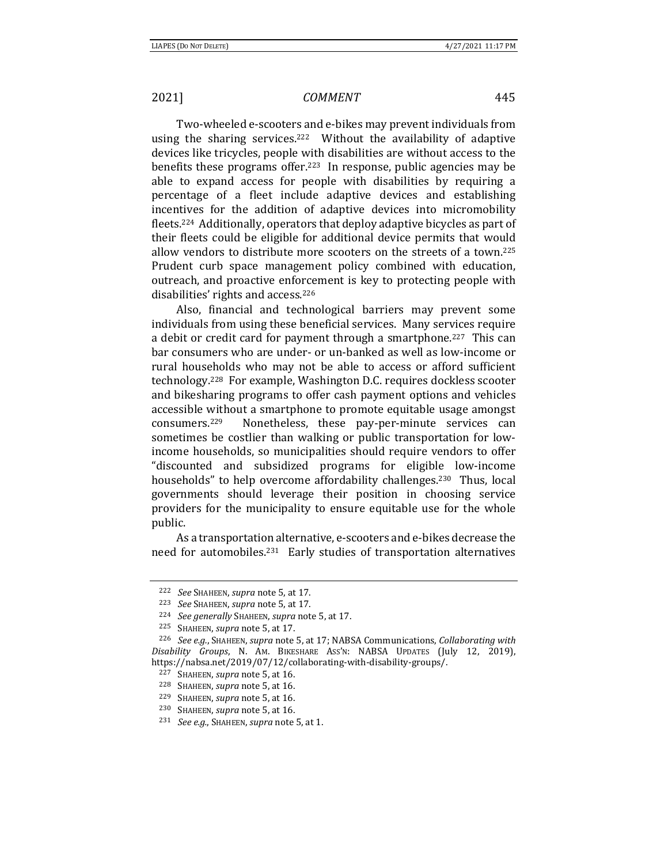Two-wheeled e-scooters and e-bikes may prevent individuals from using the sharing services.222 Without the availability of adaptive devices like tricycles, people with disabilities are without access to the benefits these programs offer.223 In response, public agencies may be able to expand access for people with disabilities by requiring a percentage of a fleet include adaptive devices and establishing incentives for the addition of adaptive devices into micromobility fleets.224 Additionally, operators that deploy adaptive bicycles as part of their fleets could be eligible for additional device permits that would allow vendors to distribute more scooters on the streets of a town.225 Prudent curb space management policy combined with education, outreach, and proactive enforcement is key to protecting people with disabilities' rights and access.226

Also, financial and technological barriers may prevent some individuals from using these beneficial services. Many services require a debit or credit card for payment through a smartphone.227 This can bar consumers who are under- or un-banked as well as low-income or rural households who may not be able to access or afford sufficient technology.228 For example, Washington D.C. requires dockless scooter and bikesharing programs to offer cash payment options and vehicles accessible without a smartphone to promote equitable usage amongst consumers.229 Nonetheless, these pay-per-minute services can sometimes be costlier than walking or public transportation for lowincome households, so municipalities should require vendors to offer "discounted and subsidized programs for eligible low-income households" to help overcome affordability challenges.<sup>230</sup> Thus, local governments should leverage their position in choosing service providers for the municipality to ensure equitable use for the whole public.

As a transportation alternative, e-scooters and e-bikes decrease the need for automobiles.231 Early studies of transportation alternatives

<sup>222</sup> *See* SHAHEEN, *supra* note 5, at 17. 223 *See* SHAHEEN, *supra* note 5, at 17. 224 *See generally* SHAHEEN, *supra* note 5, at 17.

<sup>225</sup> SHAHEEN, *supra* note 5, at 17. 226 *See e.g.*, SHAHEEN, *supra* note 5, at 17; NABSA Communications, *Collaborating with Disability Groups*, N. AM. BIKESHARE ASS'N: NABSA UPDATES (July 12, 2019), https://nabsa.net/2019/07/12/collaborating-with-disability-groups/.<br>
<sup>227</sup> SHAHEEN, *supra* note 5, at 16.<br>
<sup>228</sup> SHAHEEN, *supra* note 5, at 16.<br>
<sup>229</sup> SHAHEEN, *supra* note 5, at 16.<br>
<sup>229</sup> SHAHEEN, *supra* note 5, at 1